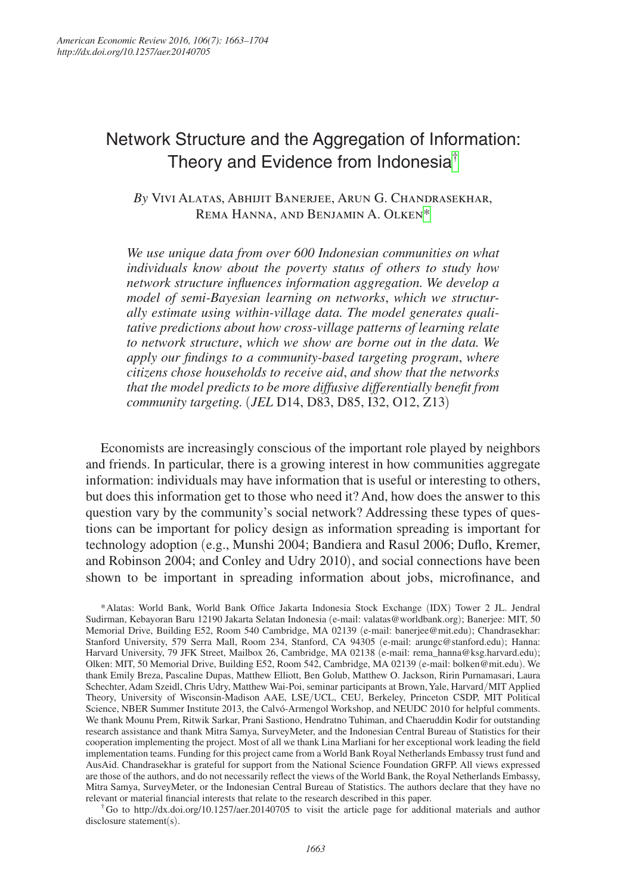# Network Structure and the Aggregation of Information: Theory and Evidence from Indonesia<sup>[†](#page-0-0)</sup>

# *By* Vivi Alatas, Abhijit Banerjee, Arun G. Chandrasekhar, Rema Hanna, and Benjamin A. Olken[\\*](#page-0-1)

*We use unique data from over 600 Indonesian communities on what individuals know about the poverty status of others to study how network structure influences information aggregation. We develop a model of semi-Bayesian learning on networks*, *which we structurally estimate using within-village data. The model generates qualitative predictions about how cross-village patterns of learning relate to network structure*, *which we show are borne out in the data. We apply our findings to a community-based targeting program*, *where citizens chose households to receive aid*, *and show that the networks that the model predicts to be more diffusive differentially benefit from community targeting.* (*JEL* D14, D83, D85, I32, O12, Z13)

Economists are increasingly conscious of the important role played by neighbors and friends. In particular, there is a growing interest in how communities aggregate information: individuals may have information that is useful or interesting to others, but does this information get to those who need it? And, how does the answer to this question vary by the community's social network? Addressing these types of questions can be important for policy design as information spreading is important for technology adoption (e.g., Munshi 2004; Bandiera and Rasul 2006; Duflo, Kremer, and Robinson 2004; and Conley and Udry 2010), and social connections have been shown to be important in spreading information about jobs, microfinance, and

<span id="page-0-1"></span>\*Alatas: World Bank, World Bank Office Jakarta Indonesia Stock Exchange (IDX) Tower 2 JL. Jendral Sudirman, Kebayoran Baru 12190 Jakarta Selatan Indonesia (e-mail: [valatas@worldbank.org](mailto:valatas@worldbank.org)); Banerjee: MIT, 50 Memorial Drive, Building E52, Room 540 Cambridge, MA 02139 (e-mail: [banerjee@mit.edu](mailto:banerjee@mit.edu)); Chandrasekhar: Stanford University, 579 Serra Mall, Room 234, Stanford, CA 94305 (e-mail: [arungc@stanford.edu](mailto:arungc@stanford.edu)); Hanna: Harvard University, 79 JFK Street, Mailbox 26, Cambridge, MA 02138 (e-mail: [rema\\_hanna@ksg.harvard.edu](mailto:rema_hanna@ksg.harvard.edu)); Olken: MIT, 50 Memorial Drive, Building E52, Room 542, Cambridge, MA 02139 (e-mail: [bolken@mit.edu](mailto:bolken@mit.edu)). We thank Emily Breza, Pascaline Dupas, Matthew Elliott, Ben Golub, Matthew O. Jackson, Ririn Purnamasari, Laura Schechter, Adam Szeidl, Chris Udry, Matthew Wai-Poi, seminar participants at Brown, Yale, Harvard/MIT Applied Theory, University of Wisconsin-Madison AAE, LSE/UCL, CEU, Berkeley, Princeton CSDP, MIT Political Science, NBER Summer Institute 2013, the Calvó-Armengol Workshop, and NEUDC 2010 for helpful comments. We thank Mounu Prem, Ritwik Sarkar, Prani Sastiono, Hendratno Tuhiman, and Chaeruddin Kodir for outstanding research assistance and thank Mitra Samya, SurveyMeter, and the Indonesian Central Bureau of Statistics for their cooperation implementing the project. Most of all we thank Lina Marliani for her exceptional work leading the field implementation teams. Funding for this project came from a World Bank Royal Netherlands Embassy trust fund and AusAid. Chandrasekhar is grateful for support from the National Science Foundation GRFP. All views expressed are those of the authors, and do not necessarily reflect the views of the World Bank, the Royal Netherlands Embassy, Mitra Samya, SurveyMeter, or the Indonesian Central Bureau of Statistics. The authors declare that they have no relevant or material financial interests that relate to the research described in this paper.

<span id="page-0-0"></span>†Go to <http://dx.doi.org/10.1257/aer.20140705>to visit the article page for additional materials and author disclosure statement(s).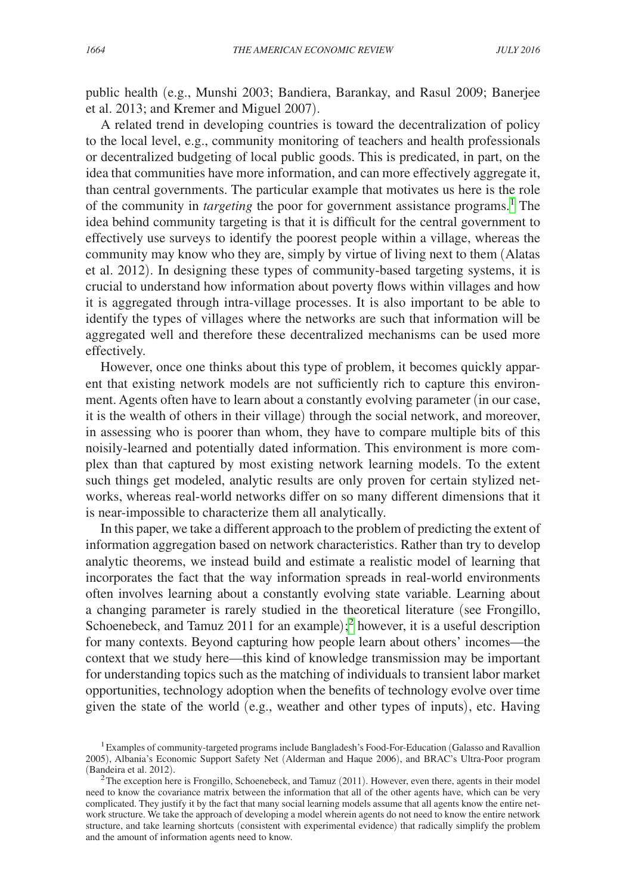public health (e.g., Munshi 2003; Bandiera, Barankay, and Rasul 2009; Banerjee et al. 2013; and Kremer and Miguel 2007).

A related trend in developing countries is toward the decentralization of policy to the local level, e.g., community monitoring of teachers and health professionals or decentralized budgeting of local public goods. This is predicated, in part, on the idea that communities have more information, and can more effectively aggregate it, than central governments. The particular example that motivates us here is the role of the community in *targeting* the poor for government assistance programs.<sup>1</sup> The idea behind community targeting is that it is difficult for the central government to effectively use surveys to identify the poorest people within a village, whereas the community may know who they are, simply by virtue of living next to them (Alatas et al. 2012). In designing these types of community-based targeting systems, it is crucial to understand how information about poverty flows within villages and how it is aggregated through intra-village processes. It is also important to be able to identify the types of villages where the networks are such that information will be aggregated well and therefore these decentralized mechanisms can be used more effectively.

However, once one thinks about this type of problem, it becomes quickly apparent that existing network models are not sufficiently rich to capture this environment. Agents often have to learn about a constantly evolving parameter (in our case, it is the wealth of others in their village) through the social network, and moreover, in assessing who is poorer than whom, they have to compare multiple bits of this noisily-learned and potentially dated information. This environment is more complex than that captured by most existing network learning models. To the extent such things get modeled, analytic results are only proven for certain stylized networks, whereas real-world networks differ on so many different dimensions that it is near-impossible to characterize them all analytically.

In this paper, we take a different approach to the problem of predicting the extent of information aggregation based on network characteristics. Rather than try to develop analytic theorems, we instead build and estimate a realistic model of learning that incorporates the fact that the way information spreads in real-world environments often involves learning about a constantly evolving state variable. Learning about a changing parameter is rarely studied in the theoretical literature (see Frongillo, Schoenebeck, and Tamuz [2](#page-1-1)011 for an example);<sup>2</sup> however, it is a useful description for many contexts. Beyond capturing how people learn about others' incomes—the context that we study here—this kind of knowledge transmission may be important for understanding topics such as the matching of individuals to transient labor market opportunities, technology adoption when the benefits of technology evolve over time given the state of the world (e.g., weather and other types of inputs), etc. Having

<span id="page-1-0"></span><sup>1</sup>Examples of community-targeted programs include Bangladesh's Food-For-Education (Galasso and Ravallion 2005), Albania's Economic Support Safety Net (Alderman and Haque 2006), and BRAC's Ultra-Poor program (Bandeira et al. 2012).

<span id="page-1-1"></span> ${}^{2}$ The exception here is Frongillo, Schoenebeck, and Tamuz (2011). However, even there, agents in their model need to know the covariance matrix between the information that all of the other agents have, which can be very complicated. They justify it by the fact that many social learning models assume that all agents know the entire network structure. We take the approach of developing a model wherein agents do not need to know the entire network structure, and take learning shortcuts (consistent with experimental evidence) that radically simplify the problem and the amount of information agents need to know.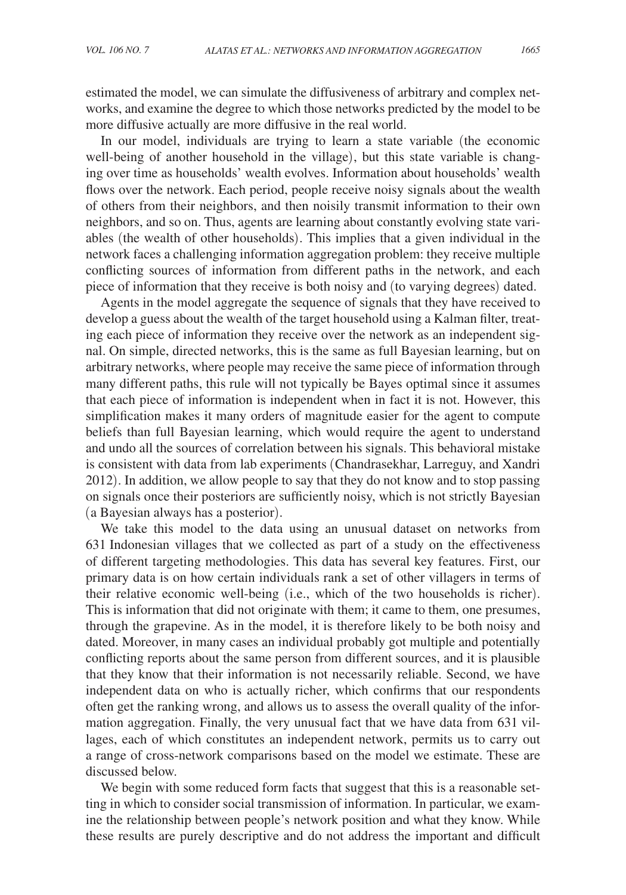estimated the model, we can simulate the diffusiveness of arbitrary and complex networks, and examine the degree to which those networks predicted by the model to be more diffusive actually are more diffusive in the real world.

In our model, individuals are trying to learn a state variable (the economic well-being of another household in the village), but this state variable is changing over time as households' wealth evolves. Information about households' wealth flows over the network. Each period, people receive noisy signals about the wealth of others from their neighbors, and then noisily transmit information to their own neighbors, and so on. Thus, agents are learning about constantly evolving state variables (the wealth of other households). This implies that a given individual in the network faces a challenging information aggregation problem: they receive multiple conflicting sources of information from different paths in the network, and each piece of information that they receive is both noisy and (to varying degrees) dated.

Agents in the model aggregate the sequence of signals that they have received to develop a guess about the wealth of the target household using a Kalman filter, treating each piece of information they receive over the network as an independent signal. On simple, directed networks, this is the same as full Bayesian learning, but on arbitrary networks, where people may receive the same piece of information through many different paths, this rule will not typically be Bayes optimal since it assumes that each piece of information is independent when in fact it is not. However, this simplification makes it many orders of magnitude easier for the agent to compute beliefs than full Bayesian learning, which would require the agent to understand and undo all the sources of correlation between his signals. This behavioral mistake is consistent with data from lab experiments (Chandrasekhar, Larreguy, and Xandri 2012). In addition, we allow people to say that they do not know and to stop passing on signals once their posteriors are sufficiently noisy, which is not strictly Bayesian (a Bayesian always has a posterior).

We take this model to the data using an unusual dataset on networks from 631 Indonesian villages that we collected as part of a study on the effectiveness of different targeting methodologies. This data has several key features. First, our primary data is on how certain individuals rank a set of other villagers in terms of their relative economic well-being (i.e., which of the two households is richer). This is information that did not originate with them; it came to them, one presumes, through the grapevine. As in the model, it is therefore likely to be both noisy and dated. Moreover, in many cases an individual probably got multiple and potentially conflicting reports about the same person from different sources, and it is plausible that they know that their information is not necessarily reliable. Second, we have independent data on who is actually richer, which confirms that our respondents often get the ranking wrong, and allows us to assess the overall quality of the information aggregation. Finally, the very unusual fact that we have data from 631 villages, each of which constitutes an independent network, permits us to carry out a range of cross-network comparisons based on the model we estimate. These are discussed below.

We begin with some reduced form facts that suggest that this is a reasonable setting in which to consider social transmission of information. In particular, we examine the relationship between people's network position and what they know. While these results are purely descriptive and do not address the important and difficult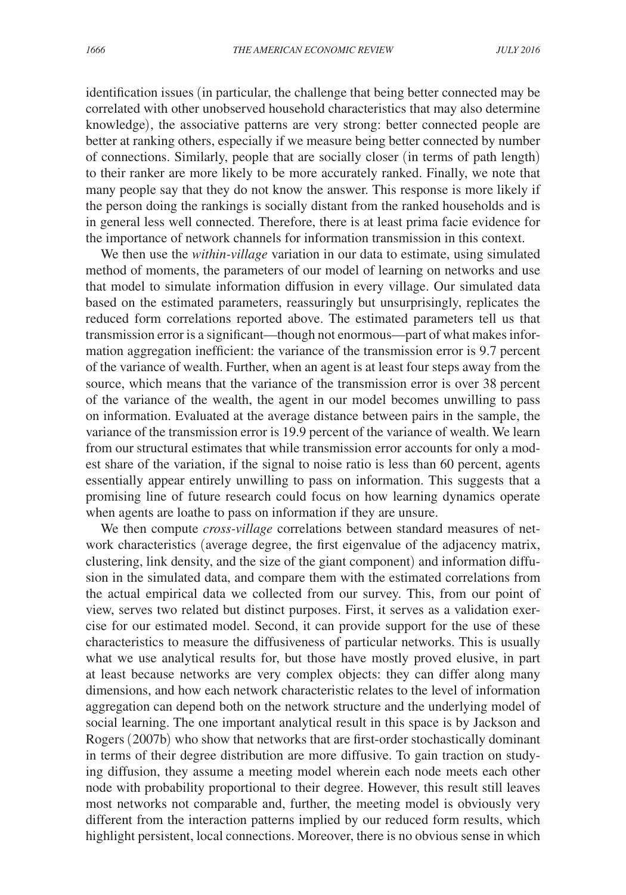identification issues (in particular, the challenge that being better connected may be correlated with other unobserved household characteristics that may also determine knowledge), the associative patterns are very strong: better connected people are better at ranking others, especially if we measure being better connected by number of connections. Similarly, people that are socially closer (in terms of path length) to their ranker are more likely to be more accurately ranked. Finally, we note that many people say that they do not know the answer. This response is more likely if the person doing the rankings is socially distant from the ranked households and is in general less well connected. Therefore, there is at least prima facie evidence for the importance of network channels for information transmission in this context.

We then use the *within-village* variation in our data to estimate, using simulated method of moments, the parameters of our model of learning on networks and use that model to simulate information diffusion in every village. Our simulated data based on the estimated parameters, reassuringly but unsurprisingly, replicates the reduced form correlations reported above. The estimated parameters tell us that transmission error is a significant—though not enormous—part of what makes information aggregation inefficient: the variance of the transmission error is 9.7 percent of the variance of wealth. Further, when an agent is at least four steps away from the source, which means that the variance of the transmission error is over 38 percent of the variance of the wealth, the agent in our model becomes unwilling to pass on information. Evaluated at the average distance between pairs in the sample, the variance of the transmission error is 19.9 percent of the variance of wealth. We learn from our structural estimates that while transmission error accounts for only a modest share of the variation, if the signal to noise ratio is less than 60 percent, agents essentially appear entirely unwilling to pass on information. This suggests that a promising line of future research could focus on how learning dynamics operate when agents are loathe to pass on information if they are unsure.

We then compute *cross-village* correlations between standard measures of network characteristics (average degree, the first eigenvalue of the adjacency matrix, clustering, link density, and the size of the giant component) and information diffusion in the simulated data, and compare them with the estimated correlations from the actual empirical data we collected from our survey. This, from our point of view, serves two related but distinct purposes. First, it serves as a validation exercise for our estimated model. Second, it can provide support for the use of these characteristics to measure the diffusiveness of particular networks. This is usually what we use analytical results for, but those have mostly proved elusive, in part at least because networks are very complex objects: they can differ along many dimensions, and how each network characteristic relates to the level of information aggregation can depend both on the network structure and the underlying model of social learning. The one important analytical result in this space is by Jackson and Rogers (2007b) who show that networks that are first-order stochastically dominant in terms of their degree distribution are more diffusive. To gain traction on studying diffusion, they assume a meeting model wherein each node meets each other node with probability proportional to their degree. However, this result still leaves most networks not comparable and, further, the meeting model is obviously very different from the interaction patterns implied by our reduced form results, which highlight persistent, local connections. Moreover, there is no obvious sense in which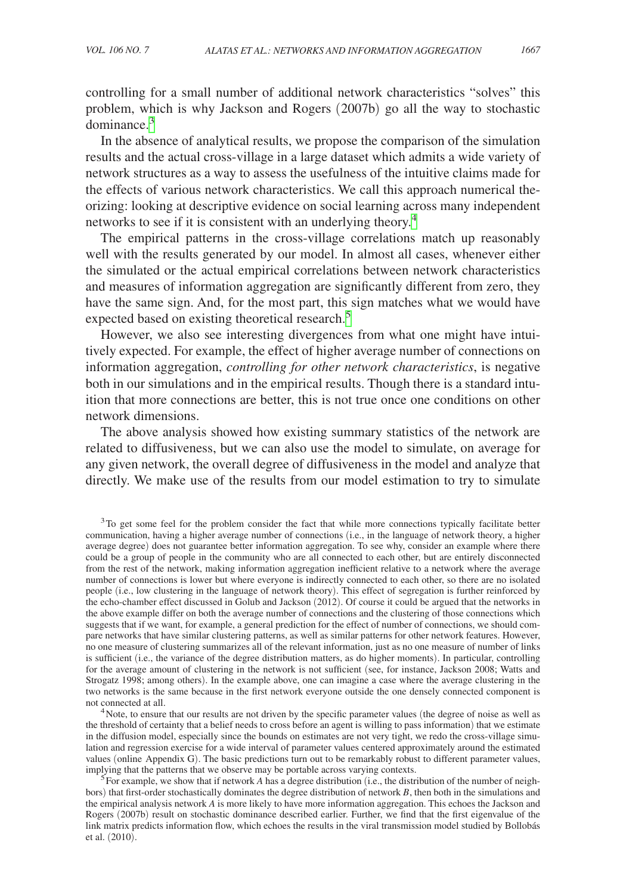controlling for a small number of additional network characteristics "solves" this problem, which is why Jackson and Rogers (2007b) go all the way to stochastic dominance.<sup>3</sup>

In the absence of analytical results, we propose the comparison of the simulation results and the actual cross-village in a large dataset which admits a wide variety of network structures as a way to assess the usefulness of the intuitive claims made for the effects of various network characteristics. We call this approach numerical theorizing: looking at descriptive evidence on social learning across many independent networks to see if it is consistent with an underlying theory.<sup>[4](#page-4-1)</sup>

The empirical patterns in the cross-village correlations match up reasonably well with the results generated by our model. In almost all cases, whenever either the simulated or the actual empirical correlations between network characteristics and measures of information aggregation are significantly different from zero, they have the same sign. And, for the most part, this sign matches what we would have expected based on existing theoretical research.<sup>5</sup>

However, we also see interesting divergences from what one might have intuitively expected. For example, the effect of higher average number of connections on information aggregation, *controlling for other network characteristics*, is negative both in our simulations and in the empirical results. Though there is a standard intuition that more connections are better, this is not true once one conditions on other network dimensions.

The above analysis showed how existing summary statistics of the network are related to diffusiveness, but we can also use the model to simulate, on average for any given network, the overall degree of diffusiveness in the model and analyze that directly. We make use of the results from our model estimation to try to simulate

<span id="page-4-0"></span><sup>3</sup>To get some feel for the problem consider the fact that while more connections typically facilitate better communication, having a higher average number of connections (i.e., in the language of network theory, a higher average degree) does not guarantee better information aggregation. To see why, consider an example where there could be a group of people in the community who are all connected to each other, but are entirely disconnected from the rest of the network, making information aggregation inefficient relative to a network where the average number of connections is lower but where everyone is indirectly connected to each other, so there are no isolated people (i.e., low clustering in the language of network theory). This effect of segregation is further reinforced by the echo-chamber effect discussed in Golub and Jackson (2012). Of course it could be argued that the networks in the above example differ on both the average number of connections and the clustering of those connections which suggests that if we want, for example, a general prediction for the effect of number of connections, we should compare networks that have similar clustering patterns, as well as similar patterns for other network features. However, no one measure of clustering summarizes all of the relevant information, just as no one measure of number of links is sufficient (i.e., the variance of the degree distribution matters, as do higher moments). In particular, controlling for the average amount of clustering in the network is not sufficient (see, for instance, Jackson 2008; Watts and Strogatz 1998; among others). In the example above, one can imagine a case where the average clustering in the two networks is the same because in the first network everyone outside the one densely connected component is not connected at all.<br><sup>4</sup>Note, to ensure that our results are not driven by the specific parameter values (the degree of noise as well as

<span id="page-4-1"></span>the threshold of certainty that a belief needs to cross before an agent is willing to pass information) that we estimate in the diffusion model, especially since the bounds on estimates are not very tight, we redo the cross-village simulation and regression exercise for a wide interval of parameter values centered approximately around the estimated values (online Appendix G). The basic predictions turn out to be remarkably robust to different parameter values, implying that the patterns that we observe may be portable across varying contexts.

<span id="page-4-2"></span> $5F$ or example, we show that if network *A* has a degree distribution (i.e., the distribution of the number of neighbors) that first-order stochastically dominates the degree distribution of network *B*, then both in the simulations and the empirical analysis network *A* is more likely to have more information aggregation. This echoes the Jackson and Rogers (2007b) result on stochastic dominance described earlier. Further, we find that the first eigenvalue of the link matrix predicts information flow, which echoes the results in the viral transmission model studied by Bollobás et al. (2010).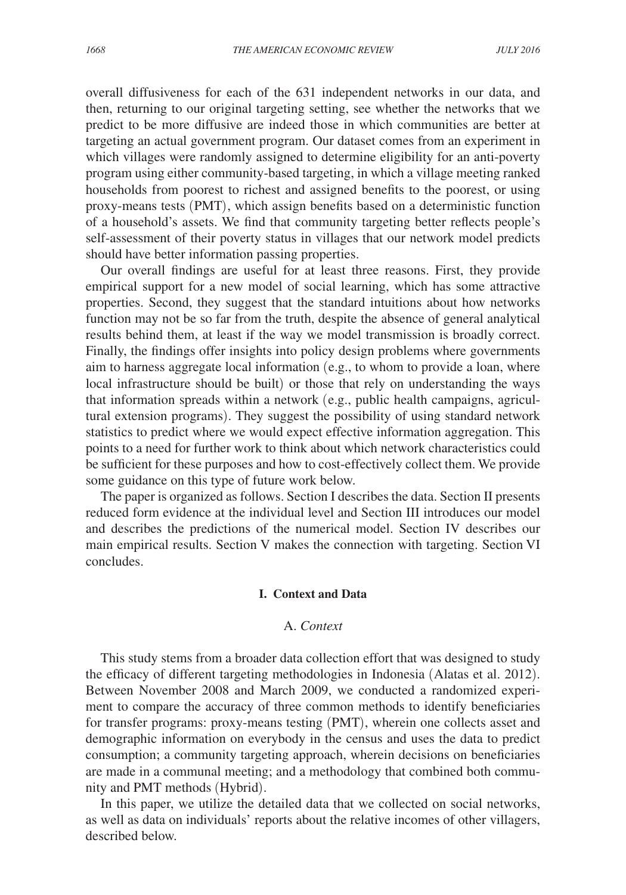overall diffusiveness for each of the 631 independent networks in our data, and then, returning to our original targeting setting, see whether the networks that we predict to be more diffusive are indeed those in which communities are better at targeting an actual government program. Our dataset comes from an experiment in which villages were randomly assigned to determine eligibility for an anti-poverty program using either community-based targeting, in which a village meeting ranked households from poorest to richest and assigned benefits to the poorest, or using proxy-means tests (PMT), which assign benefits based on a deterministic function of a household's assets. We find that community targeting better reflects people's self-assessment of their poverty status in villages that our network model predicts should have better information passing properties.

Our overall findings are useful for at least three reasons. First, they provide empirical support for a new model of social learning, which has some attractive properties. Second, they suggest that the standard intuitions about how networks function may not be so far from the truth, despite the absence of general analytical results behind them, at least if the way we model transmission is broadly correct. Finally, the findings offer insights into policy design problems where governments aim to harness aggregate local information (e.g., to whom to provide a loan, where local infrastructure should be built) or those that rely on understanding the ways that information spreads within a network (e.g., public health campaigns, agricultural extension programs). They suggest the possibility of using standard network statistics to predict where we would expect effective information aggregation. This points to a need for further work to think about which network characteristics could be sufficient for these purposes and how to cost-effectively collect them. We provide some guidance on this type of future work below.

The paper is organized as follows. Section I describes the data. Section II presents reduced form evidence at the individual level and Section III introduces our model and describes the predictions of the numerical model. Section IV describes our main empirical results. Section V makes the connection with targeting. Section VI concludes.

#### **I. Context and Data**

# A. *Context*

This study stems from a broader data collection effort that was designed to study the efficacy of different targeting methodologies in Indonesia (Alatas et al. 2012). Between November 2008 and March 2009, we conducted a randomized experiment to compare the accuracy of three common methods to identify beneficiaries for transfer programs: proxy-means testing (PMT), wherein one collects asset and demographic information on everybody in the census and uses the data to predict consumption; a community targeting approach, wherein decisions on beneficiaries are made in a communal meeting; and a methodology that combined both community and PMT methods (Hybrid).

In this paper, we utilize the detailed data that we collected on social networks, as well as data on individuals' reports about the relative incomes of other villagers, described below.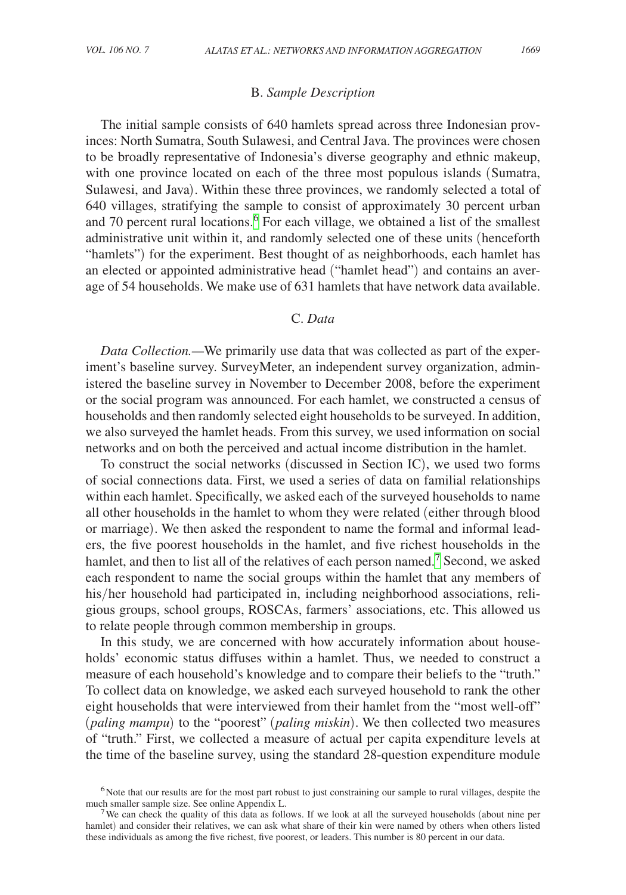# B. *Sample Description*

The initial sample consists of 640 hamlets spread across three Indonesian provinces: North Sumatra, South Sulawesi, and Central Java. The provinces were chosen to be broadly representative of Indonesia's diverse geography and ethnic makeup, with one province located on each of the three most populous islands (Sumatra, Sulawesi, and Java). Within these three provinces, we randomly selected a total of 640 villages, stratifying the sample to consist of approximately 30 percent urban and 70 percent rural locations.<sup>[6](#page-6-0)</sup> For each village, we obtained a list of the smallest administrative unit within it, and randomly selected one of these units (henceforth "hamlets") for the experiment. Best thought of as neighborhoods, each hamlet has an elected or appointed administrative head ("hamlet head") and contains an average of 54 households. We make use of 631 hamlets that have network data available.

# C. *Data*

*Data Collection.—*We primarily use data that was collected as part of the experiment's baseline survey. SurveyMeter, an independent survey organization, administered the baseline survey in November to December 2008, before the experiment or the social program was announced. For each hamlet, we constructed a census of households and then randomly selected eight households to be surveyed. In addition, we also surveyed the hamlet heads. From this survey, we used information on social networks and on both the perceived and actual income distribution in the hamlet.

To construct the social networks (discussed in Section IC), we used two forms of social connections data. First, we used a series of data on familial relationships within each hamlet. Specifically, we asked each of the surveyed households to name all other households in the hamlet to whom they were related (either through blood or marriage). We then asked the respondent to name the formal and informal leaders, the five poorest households in the hamlet, and five richest households in the hamlet, and then to list all of the relatives of each person named.<sup>[7](#page-6-1)</sup> Second, we asked each respondent to name the social groups within the hamlet that any members of his/her household had participated in, including neighborhood associations, religious groups, school groups, ROSCAs, farmers' associations, etc. This allowed us to relate people through common membership in groups.

In this study, we are concerned with how accurately information about households' economic status diffuses within a hamlet. Thus, we needed to construct a measure of each household's knowledge and to compare their beliefs to the "truth." To collect data on knowledge, we asked each surveyed household to rank the other eight households that were interviewed from their hamlet from the "most well-off" (*paling mampu*) to the "poorest" (*paling miskin*). We then collected two measures of "truth." First, we collected a measure of actual per capita expenditure levels at the time of the baseline survey, using the standard 28-question expenditure module

<span id="page-6-0"></span><sup>&</sup>lt;sup>6</sup>Note that our results are for the most part robust to just constraining our sample to rural villages, despite the much smaller sample size. See online Appendix L.

<span id="page-6-1"></span><sup>&</sup>lt;sup>7</sup>We can check the quality of this data as follows. If we look at all the surveyed households (about nine per hamlet) and consider their relatives, we can ask what share of their kin were named by others when others listed these individuals as among the five richest, five poorest, or leaders. This number is 80 percent in our data.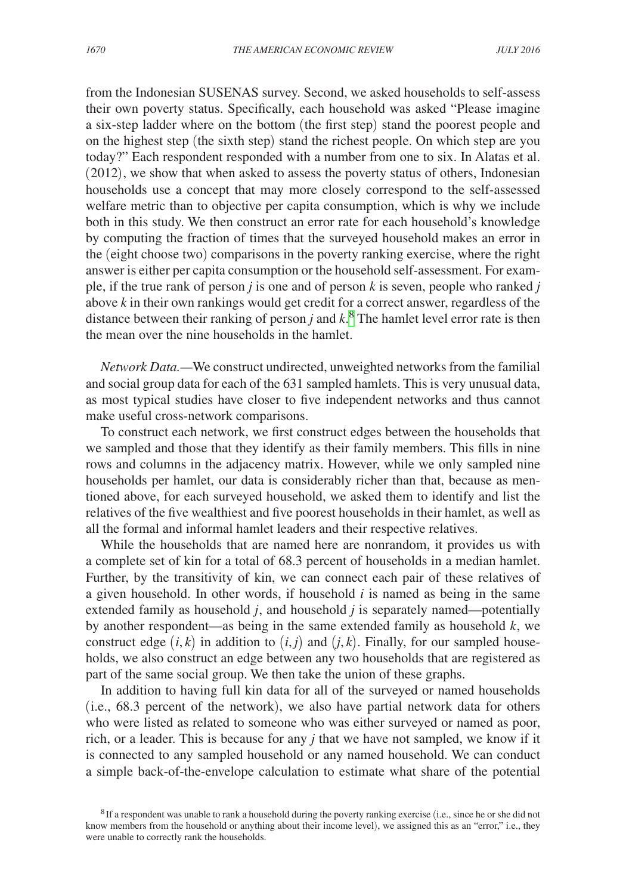from the Indonesian SUSENAS survey. Second, we asked households to self-assess their own poverty status. Specifically, each household was asked "Please imagine a six-step ladder where on the bottom (the first step) stand the poorest people and on the highest step (the sixth step) stand the richest people. On which step are you today?" Each respondent responded with a number from one to six. In Alatas et al. (2012), we show that when asked to assess the poverty status of others, Indonesian households use a concept that may more closely correspond to the self-assessed welfare metric than to objective per capita consumption, which is why we include both in this study. We then construct an error rate for each household's knowledge by computing the fraction of times that the surveyed household makes an error in the (eight choose two) comparisons in the poverty ranking exercise, where the right answer is either per capita consumption or the household self-assessment. For example, if the true rank of person *j* is one and of person *k* is seven, people who ranked *j* above *k* in their own rankings would get credit for a correct answer, regardless of the distance between their ranking of person  $j$  and  $k$ <sup>[8](#page-7-0)</sup>. The hamlet level error rate is then the mean over the nine households in the hamlet.

*Network Data.—*We construct undirected, unweighted networks from the familial and social group data for each of the 631 sampled hamlets. This is very unusual data, as most typical studies have closer to five independent networks and thus cannot make useful cross-network comparisons.

To construct each network, we first construct edges between the households that we sampled and those that they identify as their family members. This fills in nine rows and columns in the adjacency matrix. However, while we only sampled nine households per hamlet, our data is considerably richer than that, because as mentioned above, for each surveyed household, we asked them to identify and list the relatives of the five wealthiest and five poorest households in their hamlet, as well as all the formal and informal hamlet leaders and their respective relatives.

While the households that are named here are nonrandom, it provides us with a complete set of kin for a total of 68.3 percent of households in a median hamlet. Further, by the transitivity of kin, we can connect each pair of these relatives of a given household. In other words, if household *i* is named as being in the same extended family as household *j*, and household *j* is separately named—potentially by another respondent—as being in the same extended family as household *k*, we construct edge  $(i, k)$  in addition to  $(i, j)$  and  $(j, k)$ . Finally, for our sampled households, we also construct an edge between any two households that are registered as part of the same social group. We then take the union of these graphs.

In addition to having full kin data for all of the surveyed or named households (i.e., 68.3 percent of the network), we also have partial network data for others who were listed as related to someone who was either surveyed or named as poor, rich, or a leader. This is because for any *j* that we have not sampled, we know if it is connected to any sampled household or any named household. We can conduct a simple back-of-the-envelope calculation to estimate what share of the potential

<span id="page-7-0"></span><sup>8</sup>If a respondent was unable to rank a household during the poverty ranking exercise (i.e., since he or she did not know members from the household or anything about their income level), we assigned this as an "error," i.e., they were unable to correctly rank the households.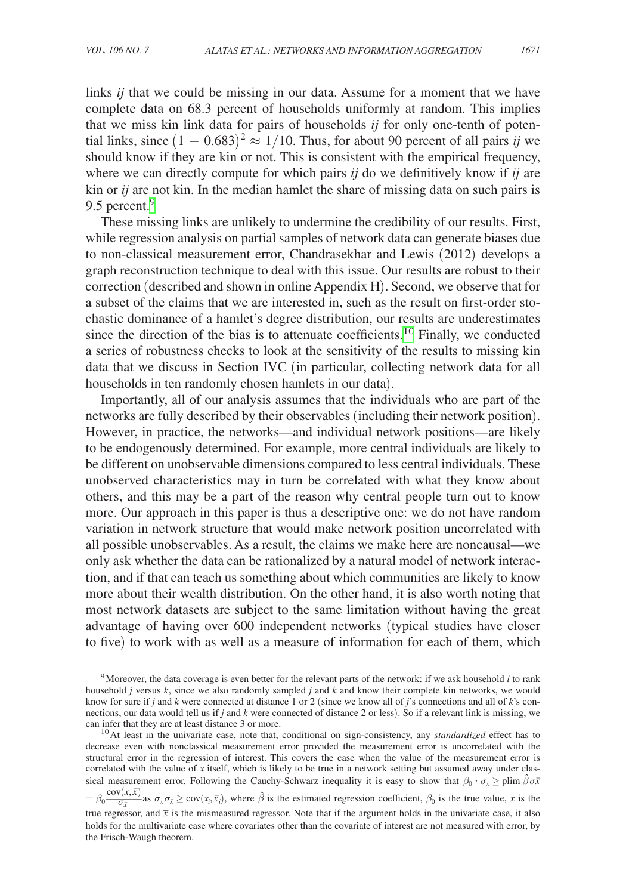links *ij* that we could be missing in our data. Assume for a moment that we have complete data on 68.3 percent of households uniformly at random. This implies that we miss kin link data for pairs of households *ij* for only one-tenth of potential links, since  $(1 - 0.683)^2 \approx 1/10$ . Thus, for about 90 percent of all pairs *ij* we should know if they are kin or not. This is consistent with the empirical frequency, where we can directly compute for which pairs *ij* do we definitively know if *ij* are kin or *ij* are not kin. In the median hamlet the share of missing data on such pairs is [9](#page-8-0).5 percent.<sup>9</sup>

These missing links are unlikely to undermine the credibility of our results. First, while regression analysis on partial samples of network data can generate biases due to non-classical measurement error, Chandrasekhar and Lewis (2012) develops a graph reconstruction technique to deal with this issue. Our results are robust to their correction (described and shown in online Appendix H). Second, we observe that for a subset of the claims that we are interested in, such as the result on first-order stochastic dominance of a hamlet's degree distribution, our results are underestimates since the direction of the bias is to attenuate coefficients.[10](#page-8-1) Finally, we conducted a series of robustness checks to look at the sensitivity of the results to missing kin data that we discuss in Section IVC (in particular, collecting network data for all households in ten randomly chosen hamlets in our data).

Importantly, all of our analysis assumes that the individuals who are part of the networks are fully described by their observables (including their network position). However, in practice, the networks—and individual network positions—are likely to be endogenously determined. For example, more central individuals are likely to be different on unobservable dimensions compared to less central individuals. These unobserved characteristics may in turn be correlated with what they know about others, and this may be a part of the reason why central people turn out to know more. Our approach in this paper is thus a descriptive one: we do not have random variation in network structure that would make network position uncorrelated with all possible unobservables. As a result, the claims we make here are noncausal—we only ask whether the data can be rationalized by a natural model of network interaction, and if that can teach us something about which communities are likely to know more about their wealth distribution. On the other hand, it is also worth noting that most network datasets are subject to the same limitation without having the great advantage of having over 600 independent networks (typical studies have closer to five) to work with as well as a measure of information for each of them, which

<span id="page-8-0"></span><sup>9</sup>Moreover, the data coverage is even better for the relevant parts of the network: if we ask household *i* to rank household *j* versus *k*, since we also randomly sampled *j* and *k* and know their complete kin networks, we would know for sure if *j* and *k* were connected at distance 1 or 2 (since we know all of *j*'s connections and all of *k*'s connections, our data would tell us if *j* and *k* were connected of distance 2 or less). So if a relevant link is missing, we can infer that they are at least distance 3 or more.

<span id="page-8-1"></span><sup>&</sup>lt;sup>10</sup> At least in the univariate case, note that, conditional on sign-consistency, any *standardized* effect has to decrease even with nonclassical measurement error provided the measurement error is uncorrelated with the structural error in the regression of interest. This covers the case when the value of the measurement error is correlated with the value of *x* itself, which is likely to be true in a network setting but assumed away under classical measurement error. Following the Cauchy-Schwarz inequality it is easy to show that  $\beta_0 \cdot \sigma_x \geq \text{plim } \hat{\beta} \sigma \bar{x}$ 

 $= \beta_0 \frac{\text{cov}(x, \bar{x})}{\sigma_{\bar{x}}}$  as  $\sigma_x \sigma_{\bar{x}} \geq \text{cov}(x_i, \bar{x}_i)$ , where  $\hat{\beta}$  is the estimated regression coefficient,  $\beta_0$  is the true value, *x* is the true regressor, and  $\bar{x}$  is the mismeasured regressor. Note that if the argument holds in the univariate case, it also holds for the multivariate case where covariates other than the covariate of interest are not measured with error, by the Frisch-Waugh theorem.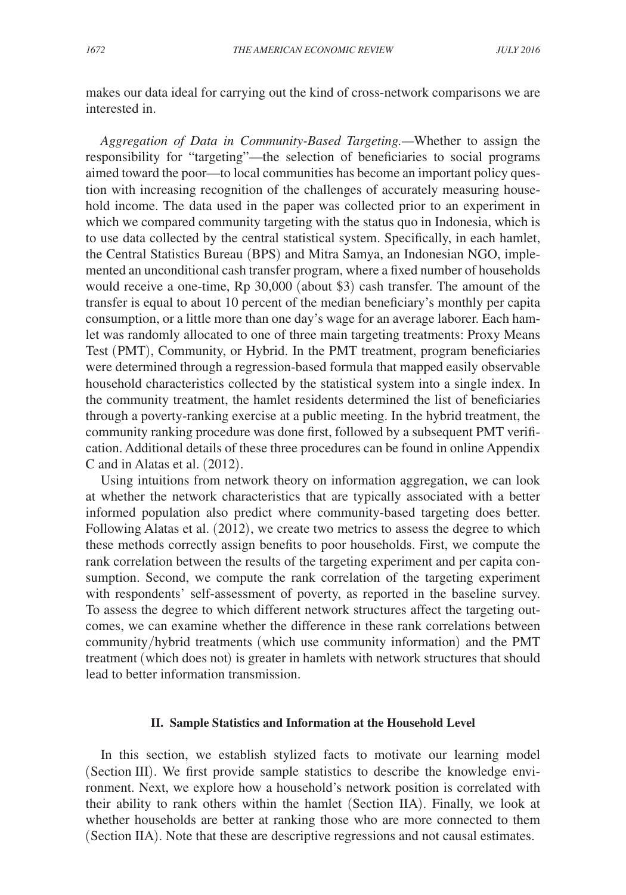makes our data ideal for carrying out the kind of cross-network comparisons we are interested in.

*Aggregation of Data in Community-Based Targeting.—*Whether to assign the responsibility for "targeting"—the selection of beneficiaries to social programs aimed toward the poor—to local communities has become an important policy question with increasing recognition of the challenges of accurately measuring household income. The data used in the paper was collected prior to an experiment in which we compared community targeting with the status quo in Indonesia, which is to use data collected by the central statistical system. Specifically, in each hamlet, the Central Statistics Bureau (BPS) and Mitra Samya, an Indonesian NGO, implemented an unconditional cash transfer program, where a fixed number of households would receive a one-time, Rp 30,000 (about \$3) cash transfer. The amount of the transfer is equal to about 10 percent of the median beneficiary's monthly per capita consumption, or a little more than one day's wage for an average laborer. Each hamlet was randomly allocated to one of three main targeting treatments: Proxy Means Test (PMT), Community, or Hybrid. In the PMT treatment, program beneficiaries were determined through a regression-based formula that mapped easily observable household characteristics collected by the statistical system into a single index. In the community treatment, the hamlet residents determined the list of beneficiaries through a poverty-ranking exercise at a public meeting. In the hybrid treatment, the community ranking procedure was done first, followed by a subsequent PMT verification. Additional details of these three procedures can be found in online Appendix C and in Alatas et al. (2012).

Using intuitions from network theory on information aggregation, we can look at whether the network characteristics that are typically associated with a better informed population also predict where community-based targeting does better. Following Alatas et al. (2012), we create two metrics to assess the degree to which these methods correctly assign benefits to poor households. First, we compute the rank correlation between the results of the targeting experiment and per capita consumption. Second, we compute the rank correlation of the targeting experiment with respondents' self-assessment of poverty, as reported in the baseline survey. To assess the degree to which different network structures affect the targeting outcomes, we can examine whether the difference in these rank correlations between community/hybrid treatments (which use community information) and the PMT treatment (which does not) is greater in hamlets with network structures that should lead to better information transmission.

# **II. Sample Statistics and Information at the Household Level**

In this section, we establish stylized facts to motivate our learning model (Section III). We first provide sample statistics to describe the knowledge environment. Next, we explore how a household's network position is correlated with their ability to rank others within the hamlet (Section IIA). Finally, we look at whether households are better at ranking those who are more connected to them (Section IIA). Note that these are descriptive regressions and not causal estimates.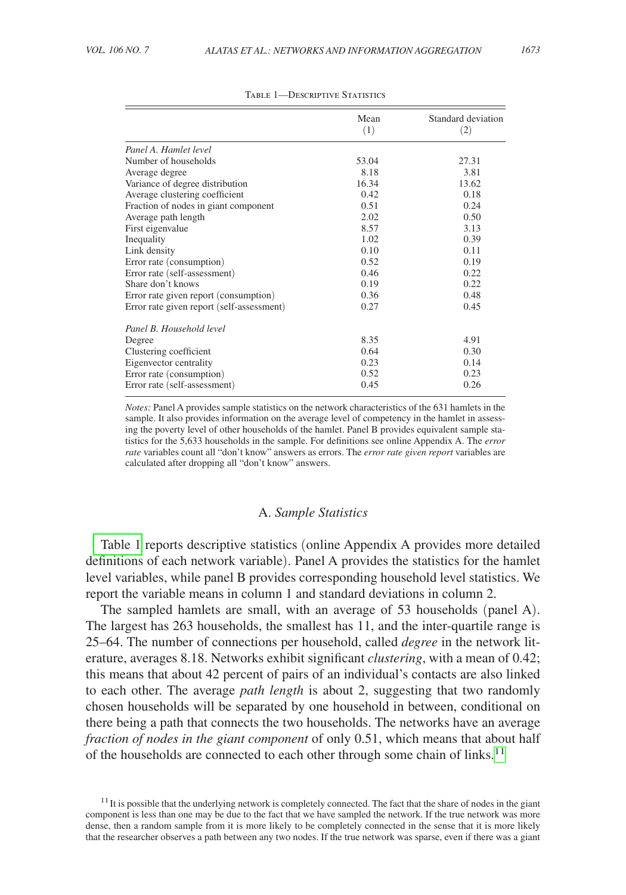| i | I<br>$\sim$ |
|---|-------------|

|                                           | Mean<br>(1) | Standard deviation<br>(2) |
|-------------------------------------------|-------------|---------------------------|
| Panel A. Hamlet level                     |             |                           |
| Number of households                      | 53.04       | 27.31                     |
| Average degree                            | 8.18        | 3.81                      |
| Variance of degree distribution           | 16.34       | 13.62                     |
| Average clustering coefficient            | 0.42        | 0.18                      |
| Fraction of nodes in giant component      | 0.51        | 0.24                      |
| Average path length                       | 2.02        | 0.50                      |
| First eigenvalue                          | 8.57        | 3.13                      |
| Inequality                                | 1.02        | 0.39                      |
| Link density                              | 0.10        | 0.11                      |
| Error rate (consumption)                  | 0.52        | 0.19                      |
| Error rate (self-assessment)              | 0.46        | 0.22                      |
| Share don't knows                         | 0.19        | 0.22                      |
| Error rate given report (consumption)     | 0.36        | 0.48                      |
| Error rate given report (self-assessment) | 0.27        | 0.45                      |
| Panel B. Household level                  |             |                           |
| Degree                                    | 8.35        | 4.91                      |
| Clustering coefficient                    | 0.64        | 0.30                      |
| Eigenvector centrality                    | 0.23        | 0.14                      |
| Error rate (consumption)                  | 0.52        | 0.23                      |
| Error rate (self-assessment)              | 0.45        | 0.26                      |

#### TABLE 1-DESCRIPTIVE STATISTICS

*Notes:* Panel A provides sample statistics on the network characteristics of the 631 hamlets in the sample. It also provides information on the average level of competency in the hamlet in assessing the poverty level of other households of the hamlet. Panel B provides equivalent sample statistics for the 5,633 households in the sample. For definitions see online Appendix A. The *error rate* variables count all "don't know" answers as errors. The *error rate given report* variables are calculated after dropping all "don't know" answers.

#### A. *Sample Statistics*

Table 1 reports descriptive statistics (online Appendix A provides more detailed definitions of each network variable). Panel A provides the statistics for the hamlet level variables, while panel B provides corresponding household level statistics. We report the variable means in column 1 and standard deviations in column 2.

The sampled hamlets are small, with an average of 53 households (panel A). The largest has 263 households, the smallest has 11, and the inter-quartile range is 25–64. The number of connections per household, called *degree* in the network literature, averages 8.18. Networks exhibit significant *clustering*, with a mean of 0.42; this means that about 42 percent of pairs of an individual's contacts are also linked to each other. The average *path length* is about 2, suggesting that two randomly chosen households will be separated by one household in between, conditional on there being a path that connects the two households. The networks have an average *fraction of nodes in the giant component* of only 0.51, which means that about half of the households are connected to each other through some chain of links.<sup>11</sup>

<span id="page-10-0"></span> $11$  It is possible that the underlying network is completely connected. The fact that the share of nodes in the giant component is less than one may be due to the fact that we have sampled the network. If the true network was more dense, then a random sample from it is more likely to be completely connected in the sense that it is more likely that the researcher observes a path between any two nodes. If the true network was sparse, even if there was a giant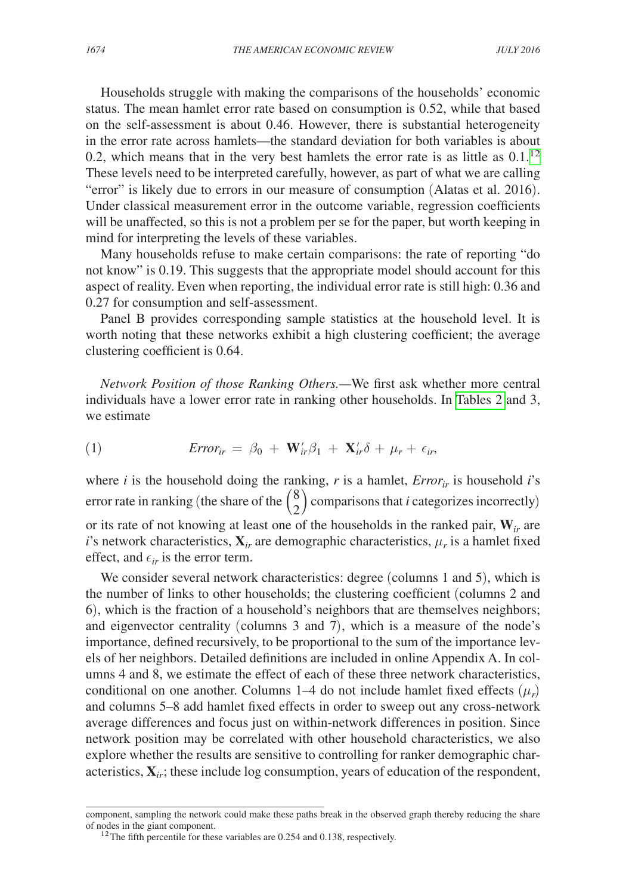Households struggle with making the comparisons of the households' economic status. The mean hamlet error rate based on consumption is 0.52, while that based on the self-assessment is about 0.46. However, there is substantial heterogeneity in the error rate across hamlets—the standard deviation for both variables is about 0.2, which means that in the very best hamlets the error rate is as little as  $0.1$ .<sup>12</sup> These levels need to be interpreted carefully, however, as part of what we are calling "error" is likely due to errors in our measure of consumption (Alatas et al. 2016). Under classical measurement error in the outcome variable, regression coefficients will be unaffected, so this is not a problem per se for the paper, but worth keeping in mind for interpreting the levels of these variables.

Many households refuse to make certain comparisons: the rate of reporting "do not know" is 0.19. This suggests that the appropriate model should account for this aspect of reality. Even when reporting, the individual error rate is still high: 0.36 and 0.27 for consumption and self-assessment.

Panel B provides corresponding sample statistics at the household level. It is worth noting that these networks exhibit a high clustering coefficient; the average clustering coefficient is 0.64.

*Network Position of those Ranking Others.—*We first ask whether more central individuals have a lower error rate in ranking other households. In [Tables 2](#page-12-0) and 3, we estimate

(1) 
$$
Error_{ir} = \beta_0 + \mathbf{W}_{ir}'\beta_1 + \mathbf{X}_{ir}'\delta + \mu_r + \epsilon_{ir},
$$

where *i* is the household doing the ranking, *r* is a hamlet,  $Error<sub>ir</sub>$  is household *i*'s error rate in ranking (the share of the  $\binom{8}{2}$  comparisons that *i* categorizes incorrectly) or its rate of not knowing at least one of the households in the ranked pair, **W***ir* are *i*'s network characteristics,  $\mathbf{X}_{ir}$  are demographic characteristics,  $\mu_r$  is a hamlet fixed effect, and  $\epsilon_{ir}$  is the error term.

We consider several network characteristics: degree (columns 1 and 5), which is the number of links to other households; the clustering coefficient (columns 2 and 6), which is the fraction of a household's neighbors that are themselves neighbors; and eigenvector centrality (columns 3 and 7), which is a measure of the node's importance, defined recursively, to be proportional to the sum of the importance levels of her neighbors. Detailed definitions are included in online Appendix A. In columns 4 and 8, we estimate the effect of each of these three network characteristics, conditional on one another. Columns 1–4 do not include hamlet fixed effects  $(\mu_r)$ and columns 5–8 add hamlet fixed effects in order to sweep out any cross-network average differences and focus just on within-network differences in position. Since network position may be correlated with other household characteristics, we also explore whether the results are sensitive to controlling for ranker demographic characteristics,  $\mathbf{X}_{ir}$ ; these include log consumption, years of education of the respondent,

component, sampling the network could make these paths break in the observed graph thereby reducing the share of nodes in the giant component.<br><sup>12</sup>The fifth percentile for these variables are 0.254 and 0.138, respectively.

<span id="page-11-0"></span>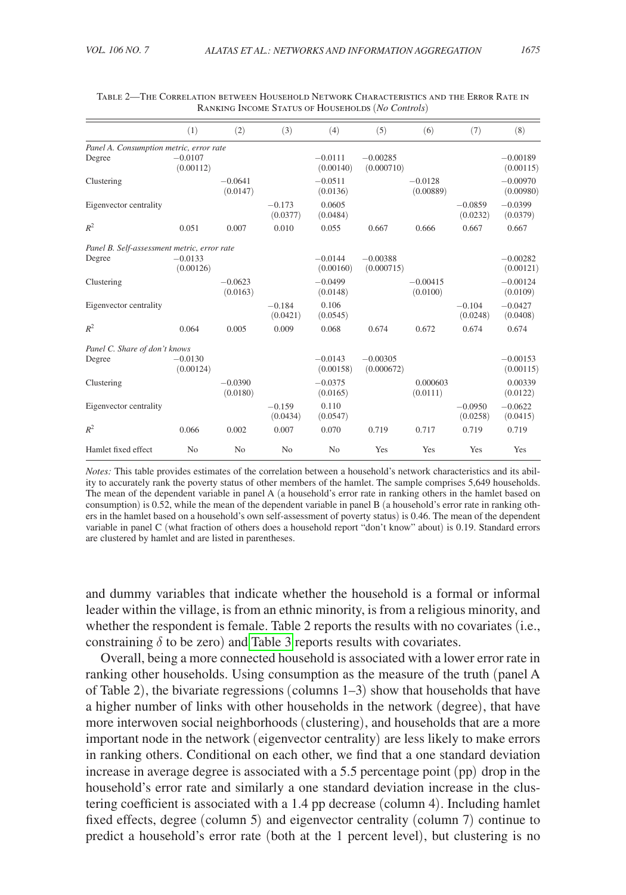|                                             | (1)                    | (2)                   | (3)                  | (4)                    | (5)                      | (6)                    | (7)                   | (8)                     |
|---------------------------------------------|------------------------|-----------------------|----------------------|------------------------|--------------------------|------------------------|-----------------------|-------------------------|
| Panel A. Consumption metric, error rate     |                        |                       |                      |                        |                          |                        |                       |                         |
| Degree                                      | $-0.0107$<br>(0.00112) |                       |                      | $-0.0111$<br>(0.00140) | $-0.00285$<br>(0.000710) |                        |                       | $-0.00189$<br>(0.00115) |
| Clustering                                  |                        | $-0.0641$<br>(0.0147) |                      | $-0.0511$<br>(0.0136)  |                          | $-0.0128$<br>(0.00889) |                       | $-0.00970$<br>(0.00980) |
| Eigenvector centrality                      |                        |                       | $-0.173$<br>(0.0377) | 0.0605<br>(0.0484)     |                          |                        | $-0.0859$<br>(0.0232) | $-0.0399$<br>(0.0379)   |
| $R^2$                                       | 0.051                  | 0.007                 | 0.010                | 0.055                  | 0.667                    | 0.666                  | 0.667                 | 0.667                   |
| Panel B. Self-assessment metric, error rate |                        |                       |                      |                        |                          |                        |                       |                         |
| Degree                                      | $-0.0133$<br>(0.00126) |                       |                      | $-0.0144$<br>(0.00160) | $-0.00388$<br>(0.000715) |                        |                       | $-0.00282$<br>(0.00121) |
| Clustering                                  |                        | $-0.0623$<br>(0.0163) |                      | $-0.0499$<br>(0.0148)  |                          | $-0.00415$<br>(0.0100) |                       | $-0.00124$<br>(0.0109)  |
| Eigenvector centrality                      |                        |                       | $-0.184$<br>(0.0421) | 0.106<br>(0.0545)      |                          |                        | $-0.104$<br>(0.0248)  | $-0.0427$<br>(0.0408)   |
| $R^2$                                       | 0.064                  | 0.005                 | 0.009                | 0.068                  | 0.674                    | 0.672                  | 0.674                 | 0.674                   |
| Panel C. Share of don't knows               |                        |                       |                      |                        |                          |                        |                       |                         |
| Degree                                      | $-0.0130$<br>(0.00124) |                       |                      | $-0.0143$<br>(0.00158) | $-0.00305$<br>(0.000672) |                        |                       | $-0.00153$<br>(0.00115) |
| Clustering                                  |                        | $-0.0390$<br>(0.0180) |                      | $-0.0375$<br>(0.0165)  |                          | 0.000603<br>(0.0111)   |                       | 0.00339<br>(0.0122)     |
| Eigenvector centrality                      |                        |                       | $-0.159$<br>(0.0434) | 0.110<br>(0.0547)      |                          |                        | $-0.0950$<br>(0.0258) | $-0.0622$<br>(0.0415)   |
| $R^2$                                       | 0.066                  | 0.002                 | 0.007                | 0.070                  | 0.719                    | 0.717                  | 0.719                 | 0.719                   |
| Hamlet fixed effect                         | N <sub>o</sub>         | N <sub>o</sub>        | N <sub>0</sub>       | N <sub>0</sub>         | Yes                      | Yes                    | Yes                   | Yes                     |

<span id="page-12-0"></span>Table 2—The Correlation between Household Network Characteristics and the Error Rate in Ranking Income Status of Households (*No Controls*)

*Notes:* This table provides estimates of the correlation between a household's network characteristics and its ability to accurately rank the poverty status of other members of the hamlet. The sample comprises 5,649 households. The mean of the dependent variable in panel A (a household's error rate in ranking others in the hamlet based on consumption) is 0.52, while the mean of the dependent variable in panel B (a household's error rate in ranking others in the hamlet based on a household's own self-assessment of poverty status) is 0.46. The mean of the dependent variable in panel C (what fraction of others does a household report "don't know" about) is 0.19. Standard errors are clustered by hamlet and are listed in parentheses.

and dummy variables that indicate whether the household is a formal or informal leader within the village, is from an ethnic minority, is from a religious minority, and whether the respondent is female. Table 2 reports the results with no covariates (i.e., constraining  $\delta$  to be zero) and [Table 3](#page-13-0) reports results with covariates.

Overall, being a more connected household is associated with a lower error rate in ranking other households. Using consumption as the measure of the truth (panel A of Table 2), the bivariate regressions (columns 1–3) show that households that have a higher number of links with other households in the network (degree), that have more interwoven social neighborhoods (clustering), and households that are a more important node in the network (eigenvector centrality) are less likely to make errors in ranking others. Conditional on each other, we find that a one standard deviation increase in average degree is associated with a 5.5 percentage point (pp) drop in the household's error rate and similarly a one standard deviation increase in the clustering coefficient is associated with a 1.4 pp decrease (column 4). Including hamlet fixed effects, degree (column 5) and eigenvector centrality (column 7) continue to predict a household's error rate (both at the 1 percent level), but clustering is no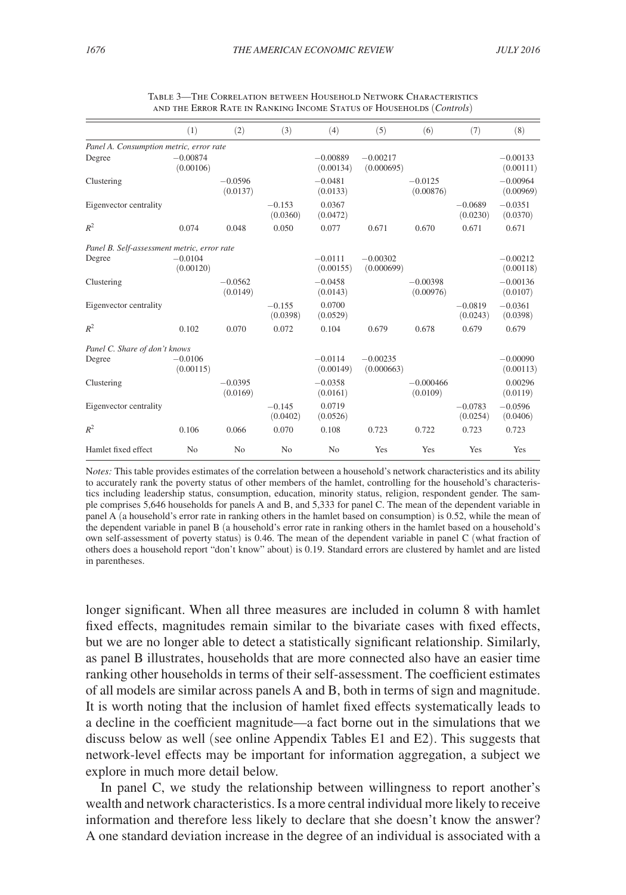<span id="page-13-0"></span>

|                                             | (1)                     | (2)                   | (3)                  | (4)                     | (5)                      | (6)                     | (7)                   | (8)                     |
|---------------------------------------------|-------------------------|-----------------------|----------------------|-------------------------|--------------------------|-------------------------|-----------------------|-------------------------|
| Panel A. Consumption metric, error rate     |                         |                       |                      |                         |                          |                         |                       |                         |
| Degree                                      | $-0.00874$<br>(0.00106) |                       |                      | $-0.00889$<br>(0.00134) | $-0.00217$<br>(0.000695) |                         |                       | $-0.00133$<br>(0.00111) |
| Clustering                                  |                         | $-0.0596$<br>(0.0137) |                      | $-0.0481$<br>(0.0133)   |                          | $-0.0125$<br>(0.00876)  |                       | $-0.00964$<br>(0.00969) |
| Eigenvector centrality                      |                         |                       | $-0.153$<br>(0.0360) | 0.0367<br>(0.0472)      |                          |                         | $-0.0689$<br>(0.0230) | $-0.0351$<br>(0.0370)   |
| $R^2$                                       | 0.074                   | 0.048                 | 0.050                | 0.077                   | 0.671                    | 0.670                   | 0.671                 | 0.671                   |
| Panel B. Self-assessment metric, error rate |                         |                       |                      |                         |                          |                         |                       |                         |
| Degree                                      | $-0.0104$<br>(0.00120)  |                       |                      | $-0.0111$<br>(0.00155)  | $-0.00302$<br>(0.000699) |                         |                       | $-0.00212$<br>(0.00118) |
| Clustering                                  |                         | $-0.0562$<br>(0.0149) |                      | $-0.0458$<br>(0.0143)   |                          | $-0.00398$<br>(0.00976) |                       | $-0.00136$<br>(0.0107)  |
| Eigenvector centrality                      |                         |                       | $-0.155$<br>(0.0398) | 0.0700<br>(0.0529)      |                          |                         | $-0.0819$<br>(0.0243) | $-0.0361$<br>(0.0398)   |
| $R^2$                                       | 0.102                   | 0.070                 | 0.072                | 0.104                   | 0.679                    | 0.678                   | 0.679                 | 0.679                   |
| Panel C. Share of don't knows               |                         |                       |                      |                         |                          |                         |                       |                         |
| Degree                                      | $-0.0106$<br>(0.00115)  |                       |                      | $-0.0114$<br>(0.00149)  | $-0.00235$<br>(0.000663) |                         |                       | $-0.00090$<br>(0.00113) |
| Clustering                                  |                         | $-0.0395$<br>(0.0169) |                      | $-0.0358$<br>(0.0161)   |                          | $-0.000466$<br>(0.0109) |                       | 0.00296<br>(0.0119)     |
| Eigenvector centrality                      |                         |                       | $-0.145$<br>(0.0402) | 0.0719<br>(0.0526)      |                          |                         | $-0.0783$<br>(0.0254) | $-0.0596$<br>(0.0406)   |
| $R^2$                                       | 0.106                   | 0.066                 | 0.070                | 0.108                   | 0.723                    | 0.722                   | 0.723                 | 0.723                   |
| Hamlet fixed effect                         | N <sub>0</sub>          | N <sub>0</sub>        | No                   | N <sub>0</sub>          | Yes                      | Yes                     | Yes                   | Yes                     |

| TABLE 3-THE CORRELATION BETWEEN HOUSEHOLD NETWORK CHARACTERISTICS    |
|----------------------------------------------------------------------|
| AND THE ERROR RATE IN RANKING INCOME STATUS OF HOUSEHOLDS (Controls) |

N*otes:* This table provides estimates of the correlation between a household's network characteristics and its ability to accurately rank the poverty status of other members of the hamlet, controlling for the household's characteristics including leadership status, consumption, education, minority status, religion, respondent gender. The sample comprises 5,646 households for panels A and B, and 5,333 for panel C. The mean of the dependent variable in panel A (a household's error rate in ranking others in the hamlet based on consumption) is 0.52, while the mean of the dependent variable in panel B (a household's error rate in ranking others in the hamlet based on a household's own self-assessment of poverty status) is 0.46. The mean of the dependent variable in panel C (what fraction of others does a household report "don't know" about) is 0.19. Standard errors are clustered by hamlet and are listed in parentheses.

longer significant. When all three measures are included in column 8 with hamlet fixed effects, magnitudes remain similar to the bivariate cases with fixed effects, but we are no longer able to detect a statistically significant relationship. Similarly, as panel B illustrates, households that are more connected also have an easier time ranking other households in terms of their self-assessment. The coefficient estimates of all models are similar across panels A and B, both in terms of sign and magnitude. It is worth noting that the inclusion of hamlet fixed effects systematically leads to a decline in the coefficient magnitude—a fact borne out in the simulations that we discuss below as well (see online Appendix Tables E1 and E2). This suggests that network-level effects may be important for information aggregation, a subject we explore in much more detail below.

In panel C, we study the relationship between willingness to report another's wealth and network characteristics. Is a more central individual more likely to receive information and therefore less likely to declare that she doesn't know the answer? A one standard deviation increase in the degree of an individual is associated with a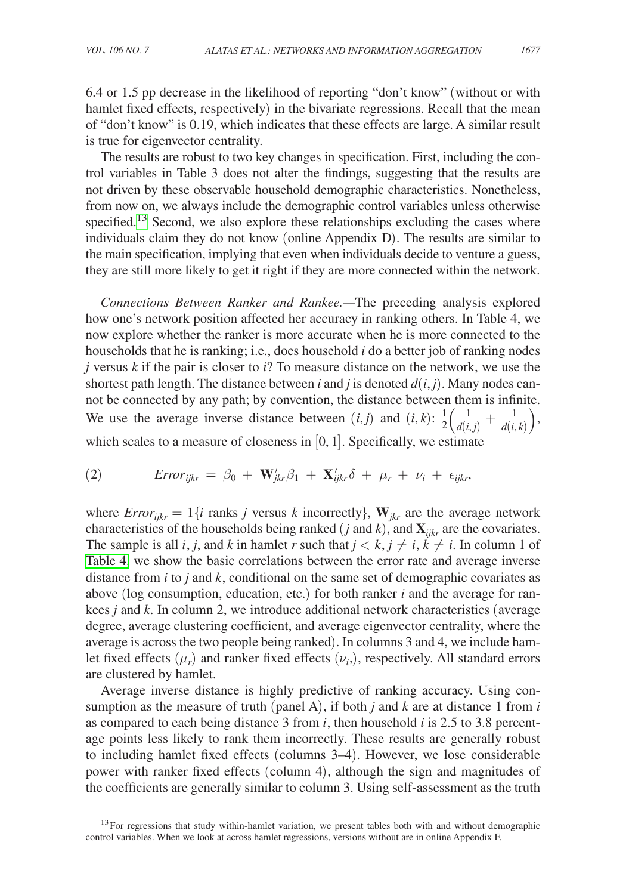6.4 or 1.5 pp decrease in the likelihood of reporting "don't know" (without or with hamlet fixed effects, respectively) in the bivariate regressions. Recall that the mean of "don't know" is 0.19, which indicates that these effects are large. A similar result is true for eigenvector centrality.

The results are robust to two key changes in specification. First, including the control variables in Table 3 does not alter the findings, suggesting that the results are not driven by these observable household demographic characteristics. Nonetheless, from now on, we always include the demographic control variables unless otherwise specified.<sup>13</sup> Second, we also explore these relationships excluding the cases where individuals claim they do not know (online Appendix D). The results are similar to the main specification, implying that even when individuals decide to venture a guess, they are still more likely to get it right if they are more connected within the network.

*Connections Between Ranker and Rankee.—*The preceding analysis explored how one's network position affected her accuracy in ranking others. In Table 4, we now explore whether the ranker is more accurate when he is more connected to the households that he is ranking; i.e., does household *i* do a better job of ranking nodes *j* versus *k* if the pair is closer to *i*? To measure distance on the network, we use the shortest path length. The distance between *i* and *j* is denoted  $d(i, j)$ . Many nodes cannot be connected by any path; by convention, the distance between them is infinite. not be connected by any path; by convention, the distance between them is infinite.<br>We use the average inverse distance between  $(i,j)$  and  $(i,k)$ :  $\frac{1}{2} \left( \frac{1}{d(i,j)} + \frac{1}{d(i,k)} \right)$ , which scales to a measure of closeness in  $[0, 1]$ . Specifically, we estimate

(2) 
$$
Error_{ijkr} = \beta_0 + \mathbf{W}_{jkr}'\beta_1 + \mathbf{X}_{ijkr}'\delta + \mu_r + \nu_i + \epsilon_{ijkr},
$$

where  $Error_{iikr} = 1\{i \text{ ranks } j \text{ versus } k \text{ incorrectly}\}$ ,  $\mathbf{W}_{ikr}$  are the average network characteristics of the households being ranked (*j* and  $k$ ), and  $\mathbf{X}_{iikr}$  are the covariates. The sample is all *i*, *j*, and *k* in hamlet *r* such that  $j < k$ ,  $j \neq i$ ,  $k \neq i$ . In column 1 of [Table 4,](#page-15-0) we show the basic correlations between the error rate and average inverse distance from *i* to *j* and *k*, conditional on the same set of demographic covariates as above (log consumption, education, etc.) for both ranker *i* and the average for rankees *j* and *k*. In column 2, we introduce additional network characteristics (average degree, average clustering coefficient, and average eigenvector centrality, where the average is across the two people being ranked). In columns 3 and 4, we include hamlet fixed effects  $(\mu_r)$  and ranker fixed effects  $(\nu_i)$ , respectively. All standard errors are clustered by hamlet.

Average inverse distance is highly predictive of ranking accuracy. Using consumption as the measure of truth (panel A), if both *j* and *k* are at distance 1 from *i* as compared to each being distance 3 from *i*, then household *i* is 2.5 to 3.8 percentage points less likely to rank them incorrectly. These results are generally robust to including hamlet fixed effects (columns 3–4). However, we lose considerable power with ranker fixed effects (column 4), although the sign and magnitudes of the coefficients are generally similar to column 3. Using self-assessment as the truth

<span id="page-14-0"></span> $13$  For regressions that study within-hamlet variation, we present tables both with and without demographic control variables. When we look at across hamlet regressions, versions without are in online Appendix F.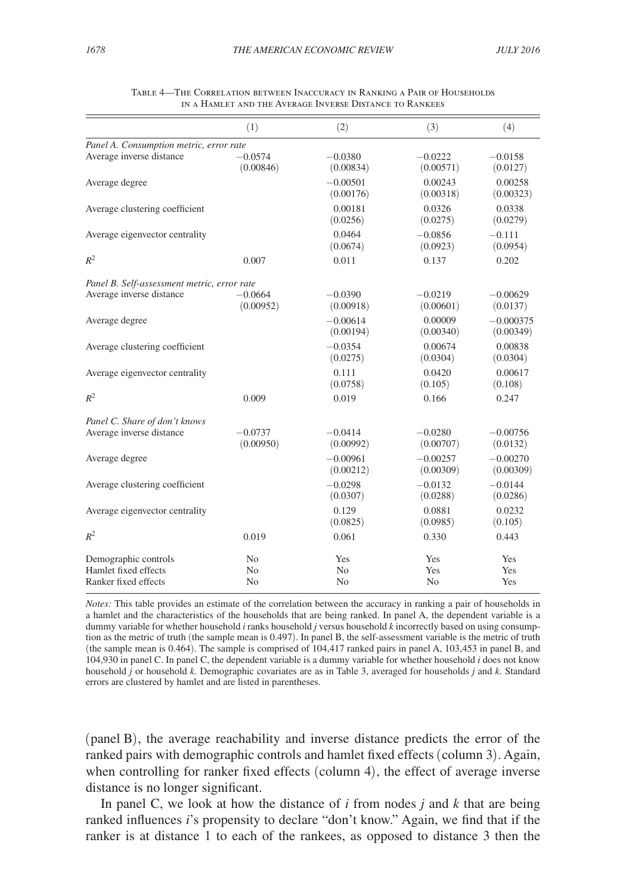<span id="page-15-0"></span>

|                                                                      | (1)                                    | (2)                         | (3)                                             | (4)                      |
|----------------------------------------------------------------------|----------------------------------------|-----------------------------|-------------------------------------------------|--------------------------|
| Panel A. Consumption metric, error rate                              |                                        |                             |                                                 |                          |
| Average inverse distance                                             | $-0.0574$<br>(0.00846)                 | $-0.0380$<br>(0.00834)      | $-0.0222$<br>$-0.0158$<br>(0.00571)<br>(0.0127) |                          |
| Average degree                                                       |                                        | $-0.00501$<br>(0.00176)     | 0.00243<br>(0.00318)                            | 0.00258<br>(0.00323)     |
| Average clustering coefficient                                       |                                        | 0.00181<br>(0.0256)         | 0.0326<br>(0.0275)                              | 0.0338<br>(0.0279)       |
| Average eigenvector centrality                                       |                                        | 0.0464<br>(0.0674)          | $-0.0856$<br>(0.0923)                           | $-0.111$<br>(0.0954)     |
| $R^2$                                                                | 0.007                                  | 0.011                       | 0.137                                           | 0.202                    |
| Panel B. Self-assessment metric, error rate                          |                                        |                             |                                                 |                          |
| Average inverse distance                                             | $-0.0664$<br>(0.00952)                 | $-0.0390$<br>(0.00918)      | $-0.0219$<br>(0.00601)                          | $-0.00629$<br>(0.0137)   |
| Average degree                                                       |                                        | $-0.00614$<br>(0.00194)     | 0.00009<br>(0.00340)                            | $-0.000375$<br>(0.00349) |
| Average clustering coefficient                                       |                                        | $-0.0354$<br>(0.0275)       | 0.00674<br>(0.0304)                             | 0.00838<br>(0.0304)      |
| Average eigenvector centrality                                       |                                        | 0.111<br>(0.0758)           | 0.0420<br>(0.105)                               | 0.00617<br>(0.108)       |
| $R^2$                                                                | 0.009                                  | 0.019                       | 0.166                                           | 0.247                    |
| Panel C. Share of don't knows                                        |                                        |                             |                                                 |                          |
| Average inverse distance                                             | $-0.0737$<br>(0.00950)                 | $-0.0414$<br>(0.00992)      | $-0.0280$<br>(0.00707)                          | $-0.00756$<br>(0.0132)   |
| Average degree                                                       |                                        | $-0.00961$<br>(0.00212)     | $-0.00257$<br>(0.00309)                         | $-0.00270$<br>(0.00309)  |
| Average clustering coefficient                                       |                                        | $-0.0298$<br>(0.0307)       | $-0.0132$<br>(0.0288)                           | $-0.0144$<br>(0.0286)    |
| Average eigenvector centrality                                       |                                        | 0.129<br>(0.0825)           | 0.0881<br>(0.0985)                              | 0.0232<br>(0.105)        |
| $R^2$                                                                | 0.019                                  | 0.061                       | 0.330                                           | 0.443                    |
| Demographic controls<br>Hamlet fixed effects<br>Ranker fixed effects | N <sub>o</sub><br>N <sub>o</sub><br>No | Yes<br>N <sub>0</sub><br>No | Yes<br>Yes<br>No                                | Yes<br>Yes<br>Yes        |

| TABLE 4—THE CORRELATION BETWEEN INACCURACY IN RANKING A PAIR OF HOUSEHOLDS |
|----------------------------------------------------------------------------|
| IN A HAMLET AND THE AVERAGE INVERSE DISTANCE TO RANKEES                    |

*Notes:* This table provides an estimate of the correlation between the accuracy in ranking a pair of households in a hamlet and the characteristics of the households that are being ranked. In panel A, the dependent variable is a dummy variable for whether household *i* ranks household *j* versus household *k* incorrectly based on using consumption as the metric of truth (the sample mean is 0.497). In panel B, the self-assessment variable is the metric of truth (the sample mean is 0.464). The sample is comprised of 104,417 ranked pairs in panel A, 103,453 in panel B, and 104,930 in panel C. In panel C, the dependent variable is a dummy variable for whether household *i* does not know household *j* or household *k*. Demographic covariates are as in Table 3, averaged for households *j* and *k*. Standard errors are clustered by hamlet and are listed in parentheses.

(panel B), the average reachability and inverse distance predicts the error of the ranked pairs with demographic controls and hamlet fixed effects (column 3). Again, when controlling for ranker fixed effects (column 4), the effect of average inverse distance is no longer significant.

In panel C, we look at how the distance of *i* from nodes *j* and *k* that are being ranked influences *i*'s propensity to declare "don't know." Again, we find that if the ranker is at distance 1 to each of the rankees, as opposed to distance 3 then the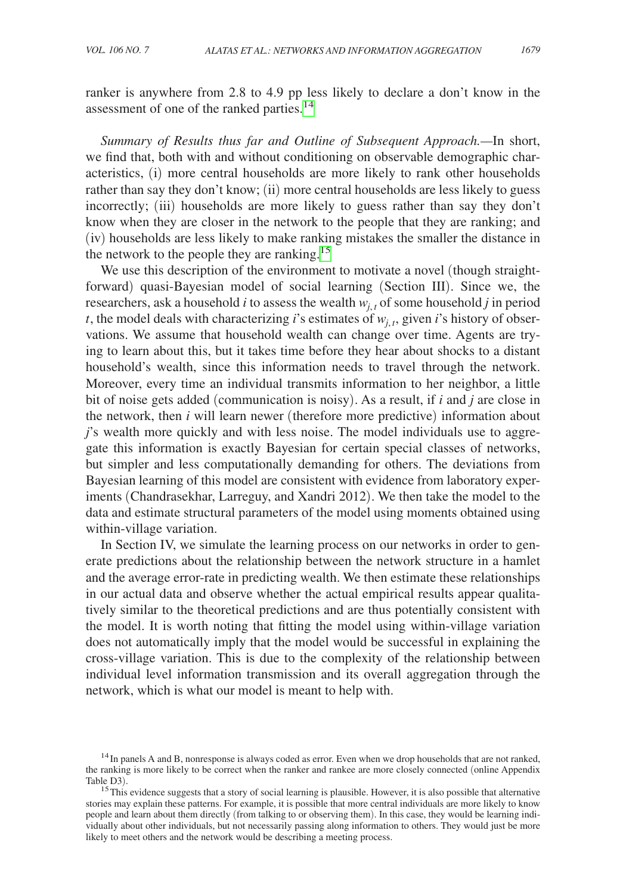ranker is anywhere from 2.8 to 4.9 pp less likely to declare a don't know in the assessment of one of the ranked parties.<sup>[14](#page-16-0)</sup>

*Summary of Results thus far and Outline of Subsequent Approach.—*In short, we find that, both with and without conditioning on observable demographic characteristics, (i) more central households are more likely to rank other households rather than say they don't know; (ii) more central households are less likely to guess incorrectly; (iii) households are more likely to guess rather than say they don't know when they are closer in the network to the people that they are ranking; and (iv) households are less likely to make ranking mistakes the smaller the distance in the network to the people they are ranking.<sup>[15](#page-16-1)</sup>

We use this description of the environment to motivate a novel (though straightforward) quasi-Bayesian model of social learning (Section III). Since we, the researchers, ask a household *i* to assess the wealth  $w_{j,t}$  of some household *j* in period *t*, the model deals with characterizing *i*'s estimates of  $w_{i,t}$ , given *i*'s history of observations. We assume that household wealth can change over time. Agents are trying to learn about this, but it takes time before they hear about shocks to a distant household's wealth, since this information needs to travel through the network. Moreover, every time an individual transmits information to her neighbor, a little bit of noise gets added (communication is noisy). As a result, if *i* and *j* are close in the network, then *i* will learn newer (therefore more predictive) information about *j*'s wealth more quickly and with less noise. The model individuals use to aggregate this information is exactly Bayesian for certain special classes of networks, but simpler and less computationally demanding for others. The deviations from Bayesian learning of this model are consistent with evidence from laboratory experiments (Chandrasekhar, Larreguy, and Xandri 2012). We then take the model to the data and estimate structural parameters of the model using moments obtained using within-village variation.

In Section IV, we simulate the learning process on our networks in order to generate predictions about the relationship between the network structure in a hamlet and the average error-rate in predicting wealth. We then estimate these relationships in our actual data and observe whether the actual empirical results appear qualitatively similar to the theoretical predictions and are thus potentially consistent with the model. It is worth noting that fitting the model using within-village variation does not automatically imply that the model would be successful in explaining the cross-village variation. This is due to the complexity of the relationship between individual level information transmission and its overall aggregation through the network, which is what our model is meant to help with.

<span id="page-16-0"></span><sup>&</sup>lt;sup>14</sup>In panels A and B, nonresponse is always coded as error. Even when we drop households that are not ranked, the ranking is more likely to be correct when the ranker and rankee are more closely connected (online Appendix

<span id="page-16-1"></span> $15$ This evidence suggests that a story of social learning is plausible. However, it is also possible that alternative stories may explain these patterns. For example, it is possible that more central individuals are more likely to know people and learn about them directly (from talking to or observing them). In this case, they would be learning individually about other individuals, but not necessarily passing along information to others. They would just be more likely to meet others and the network would be describing a meeting process.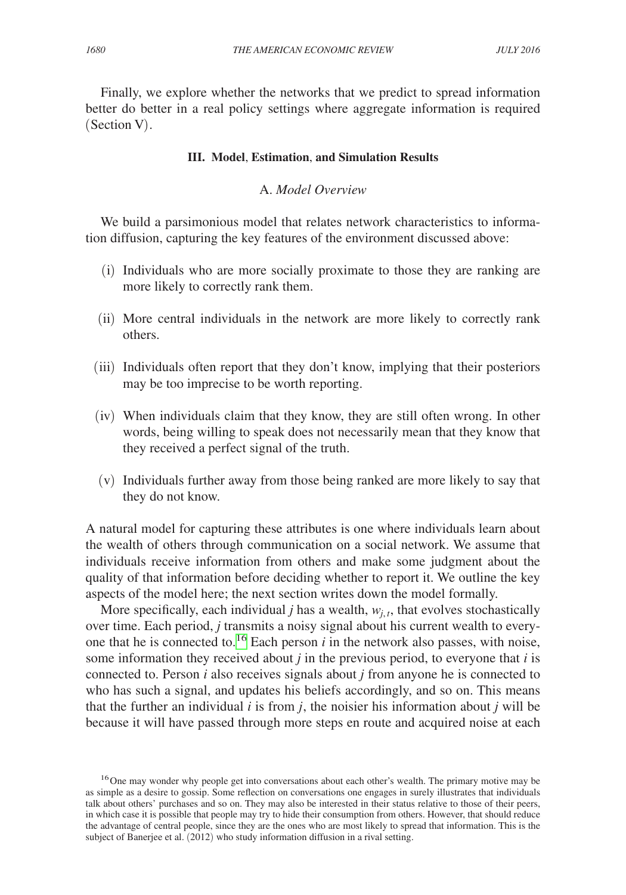Finally, we explore whether the networks that we predict to spread information better do better in a real policy settings where aggregate information is required (Section V).

#### **III. Model**, **Estimation**, **and Simulation Results**

# A. *Model Overview*

We build a parsimonious model that relates network characteristics to information diffusion, capturing the key features of the environment discussed above:

- (i) Individuals who are more socially proximate to those they are ranking are more likely to correctly rank them.
- (ii) More central individuals in the network are more likely to correctly rank others.
- (iii) Individuals often report that they don't know, implying that their posteriors may be too imprecise to be worth reporting.
- (iv) When individuals claim that they know, they are still often wrong. In other words, being willing to speak does not necessarily mean that they know that they received a perfect signal of the truth.
- (v) Individuals further away from those being ranked are more likely to say that they do not know.

A natural model for capturing these attributes is one where individuals learn about the wealth of others through communication on a social network. We assume that individuals receive information from others and make some judgment about the quality of that information before deciding whether to report it. We outline the key aspects of the model here; the next section writes down the model formally.

More specifically, each individual *j* has a wealth,  $w_i$ , that evolves stochastically over time. Each period, *j* transmits a noisy signal about his current wealth to everyone that he is connected to.<sup>16</sup> Each person  $i$  in the network also passes, with noise, some information they received about *j* in the previous period, to everyone that *i* is connected to. Person *i* also receives signals about *j* from anyone he is connected to who has such a signal, and updates his beliefs accordingly, and so on. This means that the further an individual  $i$  is from  $j$ , the noisier his information about  $j$  will be because it will have passed through more steps en route and acquired noise at each

<span id="page-17-0"></span><sup>&</sup>lt;sup>16</sup>One may wonder why people get into conversations about each other's wealth. The primary motive may be as simple as a desire to gossip. Some reflection on conversations one engages in surely illustrates that individuals talk about others' purchases and so on. They may also be interested in their status relative to those of their peers, in which case it is possible that people may try to hide their consumption from others. However, that should reduce the advantage of central people, since they are the ones who are most likely to spread that information. This is the subject of Banerjee et al. (2012) who study information diffusion in a rival setting.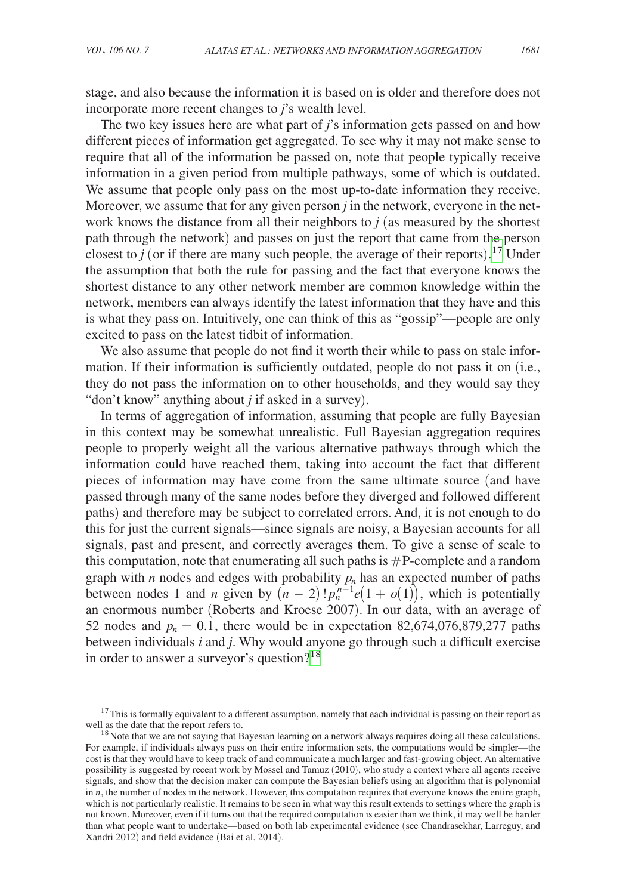stage, and also because the information it is based on is older and therefore does not incorporate more recent changes to *j*'s wealth level.

The two key issues here are what part of *j*'s information gets passed on and how different pieces of information get aggregated. To see why it may not make sense to require that all of the information be passed on, note that people typically receive information in a given period from multiple pathways, some of which is outdated. We assume that people only pass on the most up-to-date information they receive. Moreover, we assume that for any given person  $j$  in the network, everyone in the network knows the distance from all their neighbors to *j* (as measured by the shortest path through the network) and passes on just the report that came from the person closest to  $j$  (or if there are many such people, the average of their reports).<sup>17</sup> Under the assumption that both the rule for passing and the fact that everyone knows the shortest distance to any other network member are common knowledge within the network, members can always identify the latest information that they have and this is what they pass on. Intuitively, one can think of this as "gossip"—people are only excited to pass on the latest tidbit of information.

We also assume that people do not find it worth their while to pass on stale information. If their information is sufficiently outdated, people do not pass it on (i.e., they do not pass the information on to other households, and they would say they "don't know" anything about *j* if asked in a survey).

In terms of aggregation of information, assuming that people are fully Bayesian in this context may be somewhat unrealistic. Full Bayesian aggregation requires people to properly weight all the various alternative pathways through which the information could have reached them, taking into account the fact that different pieces of information may have come from the same ultimate source (and have passed through many of the same nodes before they diverged and followed different paths) and therefore may be subject to correlated errors. And, it is not enough to do this for just the current signals—since signals are noisy, a Bayesian accounts for all signals, past and present, and correctly averages them. To give a sense of scale to this computation, note that enumerating all such paths is  $\#P$ -complete and a random graph with  $n$  nodes and edges with probability  $p_n$  has an expected number of paths between nodes 1 and *n* given by  $(n-2)! p_n^{n-1} e(1 + o(1))$ , which is potentially an enormous number (Roberts and Kroese 2007). In our data, with an average of 52 nodes and  $p_n = 0.1$ , there would be in expectation 82,674,076,879,277 paths between individuals *i* and *j*. Why would anyone go through such a difficult exercise in order to answer a surveyor's question?<sup>[18](#page-18-1)</sup>

<span id="page-18-0"></span> $17$ This is formally equivalent to a different assumption, namely that each individual is passing on their report as well as the date that the report refers to.

<span id="page-18-1"></span> $18$  Note that we are not saying that Bayesian learning on a network always requires doing all these calculations. For example, if individuals always pass on their entire information sets, the computations would be simpler—the cost is that they would have to keep track of and communicate a much larger and fast-growing object. An alternative possibility is suggested by recent work by Mossel and Tamuz (2010), who study a context where all agents receive signals, and show that the decision maker can compute the Bayesian beliefs using an algorithm that is polynomial in *n*, the number of nodes in the network. However, this computation requires that everyone knows the entire graph, which is not particularly realistic. It remains to be seen in what way this result extends to settings where the graph is not known. Moreover, even if it turns out that the required computation is easier than we think, it may well be harder than what people want to undertake—based on both lab experimental evidence (see Chandrasekhar, Larreguy, and Xandri 2012) and field evidence (Bai et al. 2014).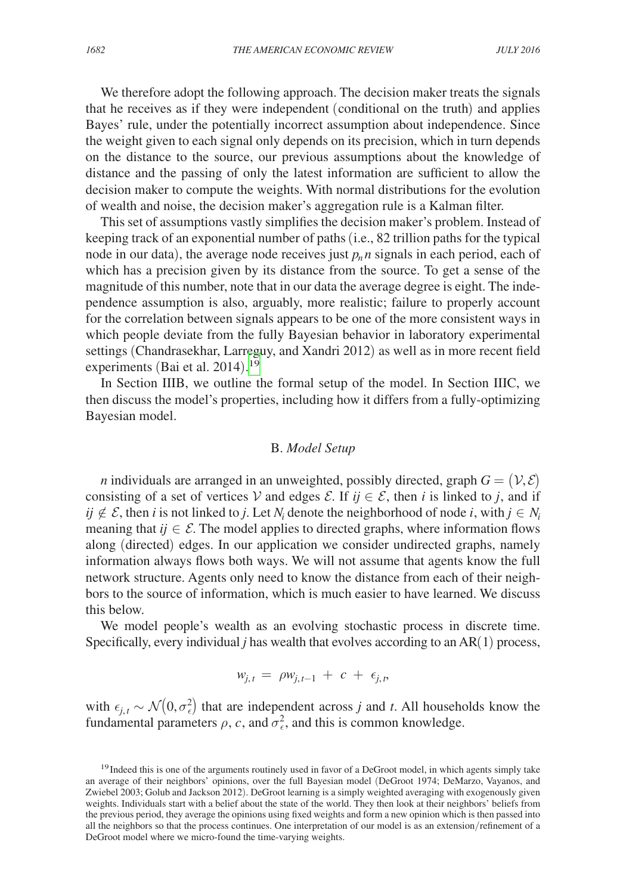We therefore adopt the following approach. The decision maker treats the signals that he receives as if they were independent (conditional on the truth) and applies Bayes' rule, under the potentially incorrect assumption about independence. Since the weight given to each signal only depends on its precision, which in turn depends on the distance to the source, our previous assumptions about the knowledge of distance and the passing of only the latest information are sufficient to allow the decision maker to compute the weights. With normal distributions for the evolution of wealth and noise, the decision maker's aggregation rule is a Kalman filter.

This set of assumptions vastly simplifies the decision maker's problem. Instead of keeping track of an exponential number of paths (i.e., 82 trillion paths for the typical node in our data), the average node receives just  $p_n n$  signals in each period, each of which has a precision given by its distance from the source. To get a sense of the magnitude of this number, note that in our data the average degree is eight. The independence assumption is also, arguably, more realistic; failure to properly account for the correlation between signals appears to be one of the more consistent ways in which people deviate from the fully Bayesian behavior in laboratory experimental settings (Chandrasekhar, Larreguy, and Xandri 2012) as well as in more recent field experiments (Bai et al. 2014).<sup>[19](#page-19-0)</sup>

In Section IIIB, we outline the formal setup of the model. In Section IIIC, we then discuss the model's properties, including how it differs from a fully-optimizing Bayesian model.

### B. *Model Setup*

*n* individuals are arranged in an unweighted, possibly directed, graph  $G = (V, \mathcal{E})$ consisting of a set of vertices V and edges  $\mathcal{E}$ . If  $ij \in \mathcal{E}$ , then *i* is linked to *j*, and if  $ij \notin \mathcal{E}$ , then *i* is not linked to *j*. Let  $N_i$  denote the neighborhood of node *i*, with  $j \in N_i$ meaning that  $ij \in \mathcal{E}$ . The model applies to directed graphs, where information flows along (directed) edges. In our application we consider undirected graphs, namely information always flows both ways. We will not assume that agents know the full network structure. Agents only need to know the distance from each of their neighbors to the source of information, which is much easier to have learned. We discuss this below.

We model people's wealth as an evolving stochastic process in discrete time. Specifically, every individual *j* has wealth that evolves according to an AR(1) process,

$$
w_{j,t} = \rho w_{j,t-1} + c + \epsilon_{j,t},
$$

with  $\epsilon_{j,t} \sim \mathcal{N}(0, \sigma_{\epsilon}^2)$  that are independent across *j* and *t*. All households know the fundamental parameters  $\rho$ , *c*, and  $\sigma_{\epsilon}^2$ , and this is common knowledge.

<span id="page-19-0"></span><sup>&</sup>lt;sup>19</sup> Indeed this is one of the arguments routinely used in favor of a DeGroot model, in which agents simply take an average of their neighbors' opinions, over the full Bayesian model (DeGroot 1974; DeMarzo, Vayanos, and Zwiebel 2003; Golub and Jackson 2012). DeGroot learning is a simply weighted averaging with exogenously given weights. Individuals start with a belief about the state of the world. They then look at their neighbors' beliefs from the previous period, they average the opinions using fixed weights and form a new opinion which is then passed into all the neighbors so that the process continues. One interpretation of our model is as an extension/refinement of a DeGroot model where we micro-found the time-varying weights.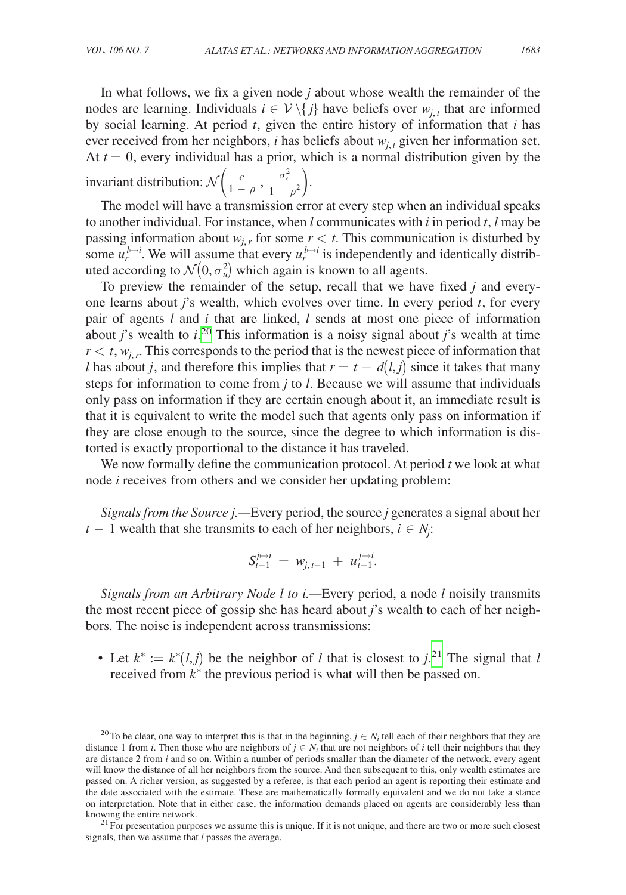In what follows, we fix a given node *j* about whose wealth the remainder of the nodes are learning. Individuals  $i \in \mathcal{V} \setminus \{j\}$  have beliefs over  $w_{j,t}$  that are informed by social learning. At period *t*, given the entire history of information that *i* has ever received from her neighbors, *i* has beliefs about  $w_{j,t}$  given her information set. At  $t = 0$ , every individual has a prior, which is a normal distribution given by the At *t* = 0, every individual has a prior,<br>invariant distribution:  $\mathcal{N}\left(\frac{c}{1-\rho}, \frac{\sigma_{\epsilon}^2}{1-\rho^2}\right)$  $\frac{\sigma_{\epsilon}^2}{1-\rho^2}$ .

The model will have a transmission error at every step when an individual speaks to another individual. For instance, when *l* communicates with *i* in period *t*, *l* may be passing information about  $w_{i,r}$  for some  $r < t$ . This communication is disturbed by some  $u_r^{l \to i}$ . We will assume that every  $u_r^{l \to i}$  is independently and identically distributed according to  $\mathcal{N}(0, \sigma_u^2)$  which again is known to all agents.

To preview the remainder of the setup, recall that we have fixed *j* and everyone learns about *j*'s wealth, which evolves over time. In every period *t*, for every pair of agents *l* and *i* that are linked, *l* sends at most one piece of information about *j*'s wealth to *i*. [20](#page-20-0) This information is a noisy signal about *j*'s wealth at time  $r < t$ ,  $w_{i,r}$ . This corresponds to the period that is the newest piece of information that *l* has about *j*, and therefore this implies that  $r = t - d(l, j)$  since it takes that many steps for information to come from *j* to *l*. Because we will assume that individuals only pass on information if they are certain enough about it, an immediate result is that it is equivalent to write the model such that agents only pass on information if they are close enough to the source, since the degree to which information is distorted is exactly proportional to the distance it has traveled.

We now formally define the communication protocol. At period *t* we look at what node *i* receives from others and we consider her updating problem:

*Signals from the Source j.—*Every period, the source *j* generates a signal about her *t* − 1 wealth that she transmits to each of her neighbors,  $i \in N_j$ :

$$
S_{t-1}^{j \mapsto i} = w_{j, t-1} + u_{t-1}^{j \mapsto i}.
$$

*Signals from an Arbitrary Node l to i.—*Every period, a node *l* noisily transmits the most recent piece of gossip she has heard about *j*'s wealth to each of her neighbors. The noise is independent across transmissions:

• Let  $k^* := k^*(l, j)$  be the neighbor of *l* that is closest to  $j^{21}$  $j^{21}$  $j^{21}$ . The signal that *l* received from  $k^*$  the previous period is what will then be passed on.

<span id="page-20-1"></span>signals, then we assume that *l* passes the average.

<span id="page-20-0"></span><sup>&</sup>lt;sup>20</sup>To be clear, one way to interpret this is that in the beginning,  $j \in N_i$  tell each of their neighbors that they are distance 1 from *i*. Then those who are neighbors of  $j \in N_i$  that are not neighbors of *i* tell their neighbors that they are distance 2 from *i* and so on. Within a number of periods smaller than the diameter of the network, every agent will know the distance of all her neighbors from the source. And then subsequent to this, only wealth estimates are passed on. A richer version, as suggested by a referee, is that each period an agent is reporting their estimate and the date associated with the estimate. These are mathematically formally equivalent and we do not take a stance on interpretation. Note that in either case, the information demands placed on agents are considerably less than knowing the entire network.  $^{21}$  For presentation purposes we assume this is unique. If it is not unique, and there are two or more such closest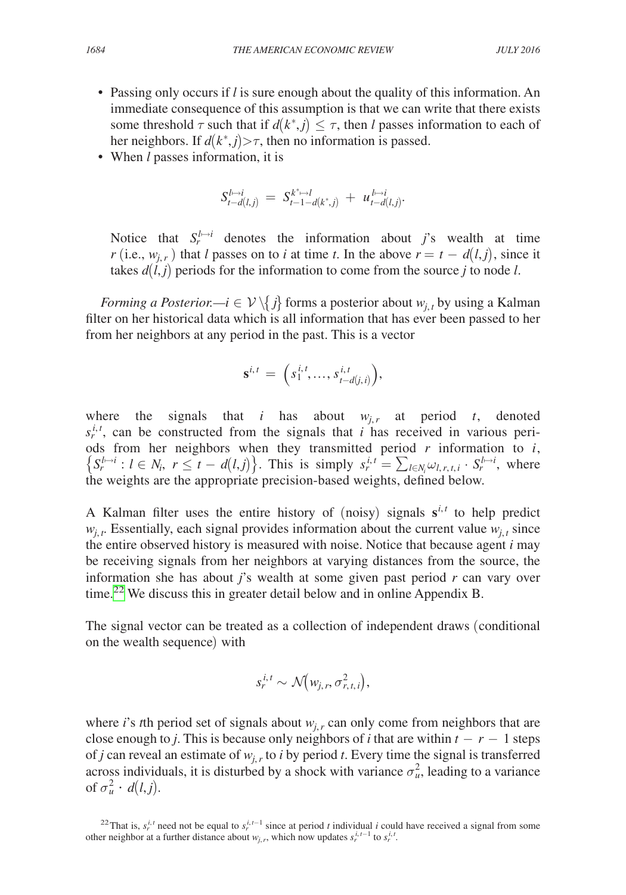- Passing only occurs if *l* is sure enough about the quality of this information. An immediate consequence of this assumption is that we can write that there exists some threshold  $\tau$  such that if  $d(k^*, j) \leq \tau$ , then *l* passes information to each of her neighbors. If  $d(k^*, j) > \tau$ , then no information is passed.
- When *l* passes information, it is

$$
S^{l\mapsto i}_{t-d(l,j)} \ = \ S^{k^*\mapsto l}_{t-1-d(k^*,j)} \ + \ u^{l\mapsto i}_{t-d(l,j)}.
$$

Notice that  $S_r^{l \to i}$  denotes the information about *j*'s wealth at time *r* (i.e.,  $w_{i,r}$ ) that *l* passes on to *i* at time *t*. In the above  $r = t - d(l, j)$ , since it takes  $d(l, j)$  periods for the information to come from the source *j* to node *l*.

*Forming a Posterior.*— $i \in \mathcal{V} \setminus \{j\}$  forms a posterior about  $w_{j,t}$  by using a Kalman filter on her historical data which is all information that has ever been passed to her from her neighbors at any period in the past. This is a vector

$$
\mathbf{s}^{i,t}\,=\,\Bigl(s^{i,t}_1,\ldots,s^{i,t}_{t-d(j,i)}\Bigr),
$$

where the signals that *i* has about  $w_{j,r}$  at period *t*, denoted  $s_r^{i,t}$ , can be constructed from the signals that *i* has received in various periods from her neighbors when they transmitted period *r* information to *i*,  $\left\{S_r^{l\rightarrow i}: l \in N_i, r \le t - d(l,j)\right\}$ . This is simply  $s_r^{i,t} = \sum_{l \in N_i} \omega_{l,r,t,i} \cdot S_r^{l\rightarrow i}$ , where the weights are the appropriate precision-based weights, defined below.

A Kalman filter uses the entire history of (noisy) signals  $s^{i,t}$  to help predict  $w_{j,t}$ . Essentially, each signal provides information about the current value  $w_{j,t}$  since the entire observed history is measured with noise. Notice that because agent *i* may be receiving signals from her neighbors at varying distances from the source, the information she has about *j*'s wealth at some given past period *r* can vary over time.<sup>[22](#page-21-0)</sup> We discuss this in greater detail below and in online Appendix B.

The signal vector can be treated as a collection of independent draws (conditional on the wealth sequence) with

$$
s_r^{i,t} \sim \mathcal{N}(w_{j,r}, \sigma_{r,t,i}^2),
$$

where *i*'s *t*th period set of signals about  $w_{i,r}$  can only come from neighbors that are close enough to *j*. This is because only neighbors of *i* that are within  $t - r - 1$  steps of *j* can reveal an estimate of  $w_{i,r}$  to *i* by period *t*. Every time the signal is transferred across individuals, it is disturbed by a shock with variance  $\sigma_u^2$ , leading to a variance of  $\sigma_u^2 \cdot d(l,j)$ .

<span id="page-21-0"></span><sup>&</sup>lt;sup>22</sup>That is,  $s_r^{i,t}$  need not be equal to  $s_r^{i,t-1}$  since at period *t* individual *i* could have received a signal from some other neighbor at a further distance about  $w_{j,r}$ , which now updates  $s_r^{i,t-1}$  to  $s_r^{i,t}$ .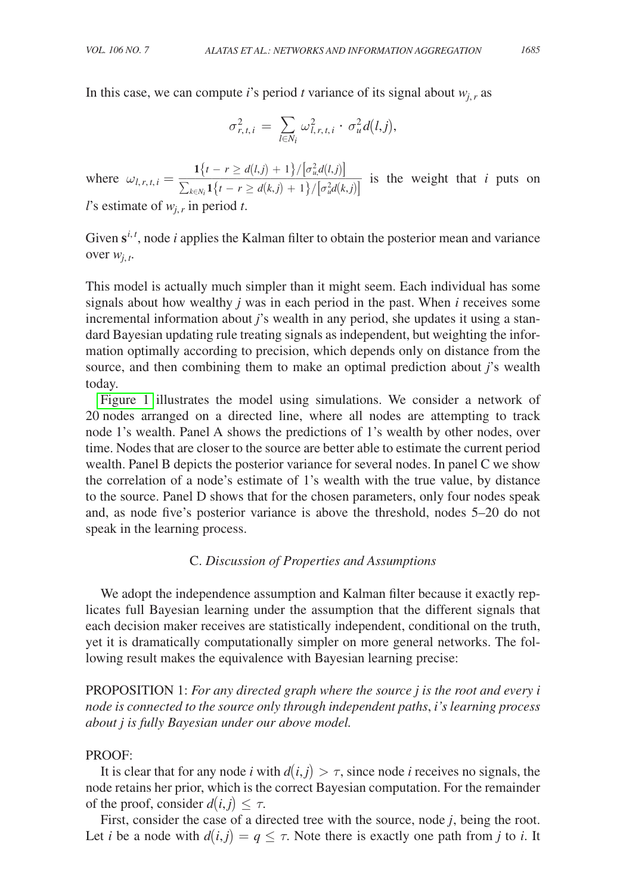In this case, we can compute *i*'s period *t* variance of its signal about  $w_{i,r}$  as

$$
\sigma_{r,t,i}^2 \,=\, \sum_{l\in N_i} \omega_{l,r,t,i}^2\cdot \, \sigma_u^2 d\big(l,j\big),
$$

where  $\omega_{l,r,t,i} = \frac{1\{t - r \ge d(l,j) + 1\}/[\sigma_u^2 d(l,j)]}{\sum_{l=1}^{\infty} \mathcal{A}(l, t) + 1\}/[\sigma_u^2 d(l, j)]}$  $\frac{1}{t \in N_i}$ <br>  $\frac{1}{t-r} \geq d(l,j) + 1 \}/[\sigma_u^2 d(l,j)]$ <br>  $\sum_{k \in N_i} 1 \{t - r \geq d(k,j) + 1 \}/[\sigma_u^2 d(k,j)]$ <br> *r* in period *t*.  $\frac{1}{1}$  $\left\{t - r \ge d(k,j) + 1\right\}/\left[\sigma_u^2 d(k,j)\right]$  is the weight that *i* puts on *l*'s estimate of  $w_i$ , in period

Given  $s^{i,t}$ , node *i* applies the Kalman filter to obtain the posterior mean and variance over *wj*, *<sup>t</sup>* .

This model is actually much simpler than it might seem. Each individual has some signals about how wealthy *j* was in each period in the past. When *i* receives some incremental information about *j*'s wealth in any period, she updates it using a standard Bayesian updating rule treating signals as independent, but weighting the information optimally according to precision, which depends only on distance from the source, and then combining them to make an optimal prediction about *j*'s wealth today.

[Figure 1](#page-23-0) illustrates the model using simulations. We consider a network of 20 nodes arranged on a directed line, where all nodes are attempting to track node 1's wealth. Panel A shows the predictions of 1's wealth by other nodes, over time. Nodes that are closer to the source are better able to estimate the current period wealth. Panel B depicts the posterior variance for several nodes. In panel C we show the correlation of a node's estimate of 1's wealth with the true value, by distance to the source. Panel D shows that for the chosen parameters, only four nodes speak and, as node five's posterior variance is above the threshold, nodes 5–20 do not speak in the learning process.

# C. *Discussion of Properties and Assumptions*

We adopt the independence assumption and Kalman filter because it exactly replicates full Bayesian learning under the assumption that the different signals that each decision maker receives are statistically independent, conditional on the truth, yet it is dramatically computationally simpler on more general networks. The following result makes the equivalence with Bayesian learning precise:

PROPOSITION 1: *For any directed graph where the source j is the root and every i node is connected to the source only through independent paths*, *i's learning process about j is fully Bayesian under our above model.*

# Proof:

It is clear that for any node *i* with  $d(i, j) > \tau$ , since node *i* receives no signals, the node retains her prior, which is the correct Bayesian computation. For the remainder of the proof, consider  $d(i, j) \leq \tau$ .

First, consider the case of a directed tree with the source, node *j*, being the root. Let *i* be a node with  $d(i, j) = q \leq \tau$ . Note there is exactly one path from *j* to *i*. It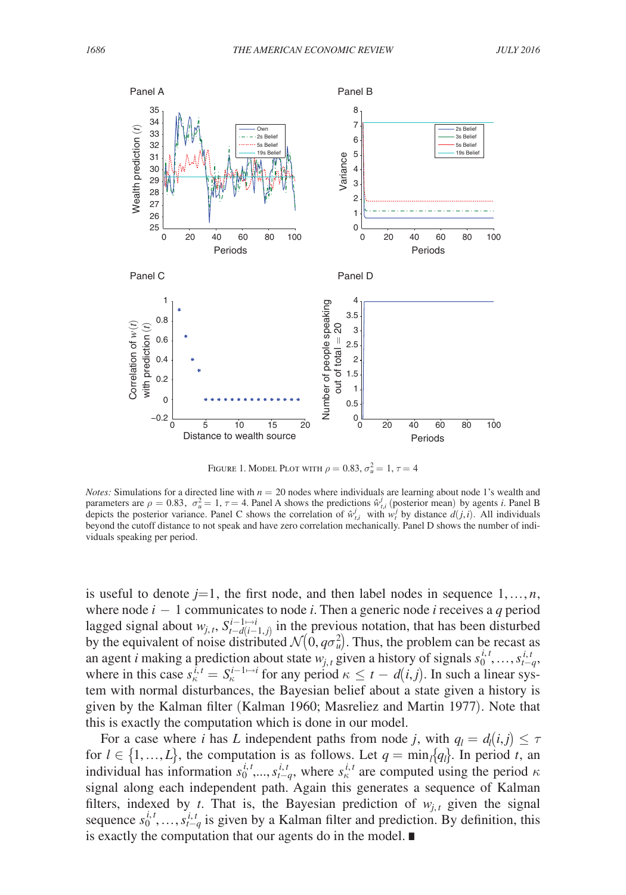<span id="page-23-0"></span>

Figure 1. Model Plot with  $\rho = 0.83, \sigma_u^2 = 1, \tau = 4$ 

*Notes:* Simulations for a directed line with  $n = 20$  nodes where individuals are learning about node 1's wealth and parameters are  $\rho = 0.83$ ,  $\sigma_u^2 = 1$ ,  $\tau = 4$ . Panel A shows the predictions  $\hat{w}_{t,i}^j$  (posterior mean) by agents *i*. Panel B depicts the posterior variance. Panel C shows the correlation of  $\hat{w}^j_{t,i}$  with  $w^j_t$  by distance  $d(j,i)$ . All individuals beyond the cutoff distance to not speak and have zero correlation mechanically. Panel D shows the number of individuals speaking per period.

is useful to denote  $j=1$ , the first node, and then label nodes in sequence  $1, \ldots, n$ , where node *i* − 1 communicates to node *i*. Then a generic node *i* receives a *q* period lagged signal about  $w_{j,t}$ ,  $S_{t-d(i-1,j)}^{i-1\mapsto i}$  in the previous notation, that has been disturbed by the equivalent of noise distributed  $\mathcal{N}(0, q\sigma_u^2)$ . Thus, the problem can be recast as an agent *i* making a prediction about state  $w_{j,t}$  given a history of signals  $s_0^{i,t}, \ldots, s_{t-q}^{i,t}$ , where in this case  $s_k^{\bar{i}, t} = S_k^{i-1 \to i}$  for any period  $\kappa \le t - d(i, j)$ . In such a linear system with normal disturbances, the Bayesian belief about a state given a history is given by the Kalman filter (Kalman 1960; Masreliez and Martin 1977). Note that this is exactly the computation which is done in our model.

For a case where *i* has *L* independent paths from node *j*, with  $q_l = d_l(i, j) \leq \tau$ for  $l \in \{1, ..., L\}$ , the computation is as follows. Let  $q = \min_l \{q_l\}$ . In period *t*, an individual has information  $s_0^{i,t}$ , *i*,  $s_{t-q}^{i,t}$ , where  $s_k^{i,t}$  are computed using the period  $\kappa$ signal along each independent path. Again this generates a sequence of Kalman filters, indexed by *t*. That is, the Bayesian prediction of  $w_{j,t}$  given the signal sequence  $s_0^{i,t}, \ldots, s_{t-q}^{i,t}$  is given by a Kalman filter and prediction. By definition, this is exactly the computation that our agents do in the model. ∎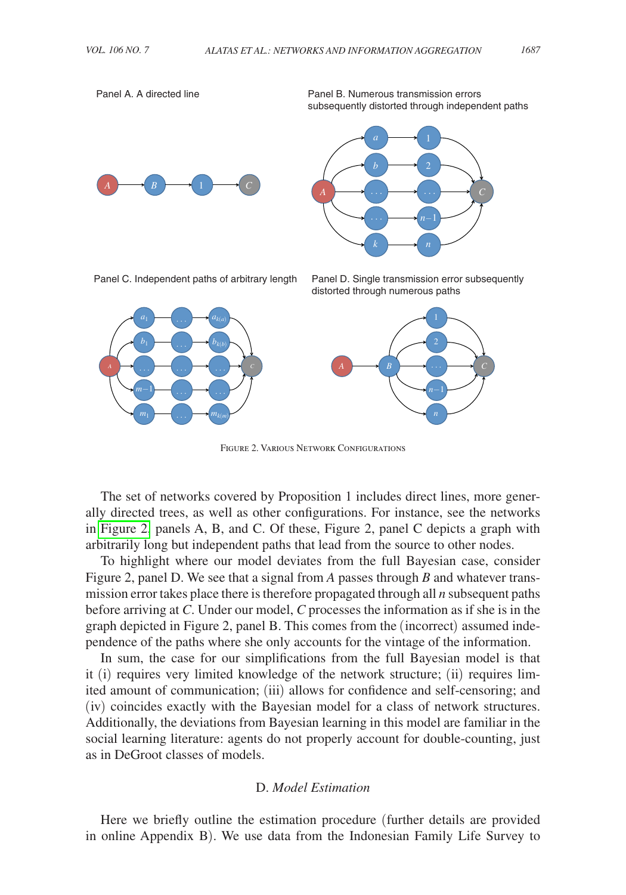Panel A. A directed line

Panel B. Numerous transmission errors subsequently distorted through independent paths





Panel C. Independent paths of arbitrary length

*A C*

 $m_1$   $\longrightarrow$   $m_{k(m)}$ 

… <del>…</del>

*b*1





Figure 2. Various Network Configurations

The set of networks covered by Proposition 1 includes direct lines, more generally directed trees, as well as other configurations. For instance, see the networks in Figure 2, panels A, B, and C. Of these, Figure 2, panel C depicts a graph with arbitrarily long but independent paths that lead from the source to other nodes.

To highlight where our model deviates from the full Bayesian case, consider Figure 2, panel D. We see that a signal from *A* passes through *B* and whatever transmission error takes place there is therefore propagated through all *n* subsequent paths before arriving at *C*. Under our model, *C* processes the information as if she is in the graph depicted in Figure 2, panel B. This comes from the (incorrect) assumed independence of the paths where she only accounts for the vintage of the information.

In sum, the case for our simplifications from the full Bayesian model is that it (i) requires very limited knowledge of the network structure; (ii) requires limited amount of communication; (iii) allows for confidence and self-censoring; and (iv) coincides exactly with the Bayesian model for a class of network structures. Additionally, the deviations from Bayesian learning in this model are familiar in the social learning literature: agents do not properly account for double-counting, just as in DeGroot classes of models.

# D. *Model Estimation*

Here we briefly outline the estimation procedure (further details are provided in online Appendix B). We use data from the Indonesian Family Life Survey to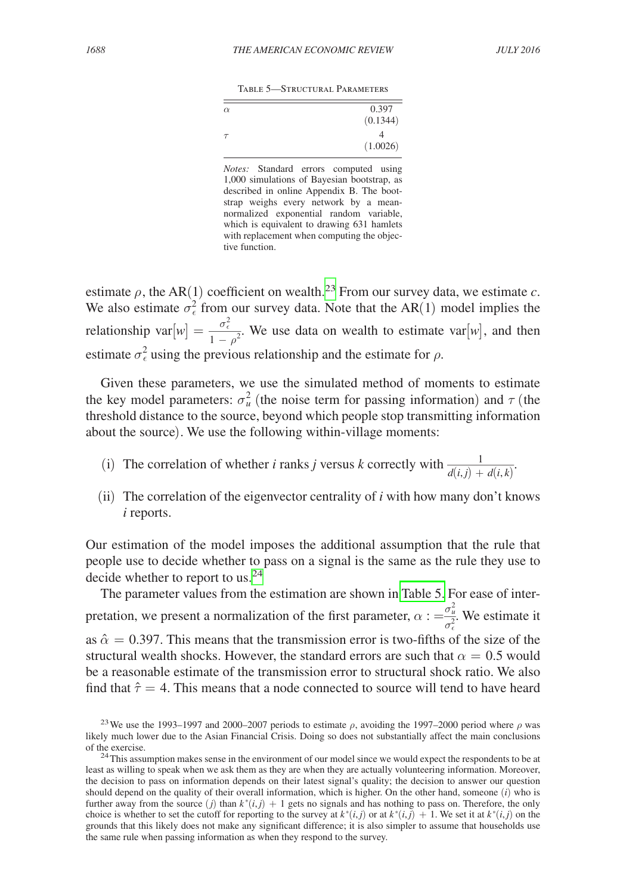| TABLE 5—STRUCTURAL PARAMETERS |  |
|-------------------------------|--|
|-------------------------------|--|

| $\alpha$ | 0.397    |
|----------|----------|
|          | (0.1344) |
| $\tau$   |          |
|          | (1.0026) |

*Notes:* Standard errors computed using 1,000 simulations of Bayesian bootstrap, as described in online Appendix B. The bootstrap weighs every network by a meannormalized exponential random variable, which is equivalent to drawing 631 hamlets with replacement when computing the objective function.

estimate  $\rho$ , the AR(1) coefficient on wealth.<sup>[23](#page-25-0)</sup> From our survey data, we estimate *c*. We also estimate  $\sigma_{\epsilon}^2$  from our survey data. Note that the AR(1) model implies the We also estimate  $\sigma_{\epsilon}^2$  from originationship var $[w] = \frac{\sigma_{\epsilon}^2}{1 - \rho^2}$  $\frac{\sigma_{\epsilon}^2}{1-\rho^2}$ . We use data on wealth to estimate var[w], and then estimate  $\sigma_{\epsilon}^2$  using the previous relationship and the estimate for  $\rho$ .

Given these parameters, we use the simulated method of moments to estimate the key model parameters:  $\sigma_u^2$  (the noise term for passing information) and  $\tau$  (the threshold distance to the source, beyond which people stop transmitting information about the source). We use the following within-village moments: key model parameters:  $\sigma_u^2$  (the noise term for passing information) and  $\tau$  (the eshold distance to the source, beyond which people stop transmitting information of the source). We use the following within-village mom

- .
- (ii) The correlation of the eigenvector centrality of *i* with how many don't knows *i* reports.

Our estimation of the model imposes the additional assumption that the rule that people use to decide whether to pass on a signal is the same as the rule they use to decide whether to report to us.<sup>[24](#page-25-1)</sup>

The parameter values from the estimation are shown in Table 5. For ease of interpretation, we present a normalization of the first parameter,  $\alpha := \frac{\sigma_u^2}{\sigma_{\epsilon}^2}$ . We estimate it as  $\hat{\alpha} = 0.397$ . This means that the transmission error is two-fifths of the size of the structural wealth shocks. However, the standard errors are such that  $\alpha = 0.5$  would be a reasonable estimate of the transmission error to structural shock ratio. We also find that  $\hat{\tau} = 4$ . This means that a node connected to source will tend to have heard

<span id="page-25-0"></span><sup>&</sup>lt;sup>23</sup>We use the 1993–1997 and 2000–2007 periods to estimate  $\rho$ , avoiding the 1997–2000 period where  $\rho$  was likely much lower due to the Asian Financial Crisis. Doing so does not substantially affect the main conclusions

<span id="page-25-1"></span>of the exercise.<br><sup>24</sup>This assumption makes sense in the environment of our model since we would expect the respondents to be at least as willing to speak when we ask them as they are when they are actually volunteering information. Moreover, the decision to pass on information depends on their latest signal's quality; the decision to answer our question should depend on the quality of their overall information, which is higher. On the other hand, someone (*i*) who is further away from the source  $(j)$  than  $k^*(i,j) + 1$  gets no signals and has nothing to pass on. Therefore, the only choice is whether to set the cutoff for reporting to the survey at  $k^*(i,j)$  or at  $k^*(i,j) + 1$ . We set it at  $k^*(i,j)$  on the grounds that this likely does not make any significant difference; it is also simpler to assume that households use the same rule when passing information as when they respond to the survey.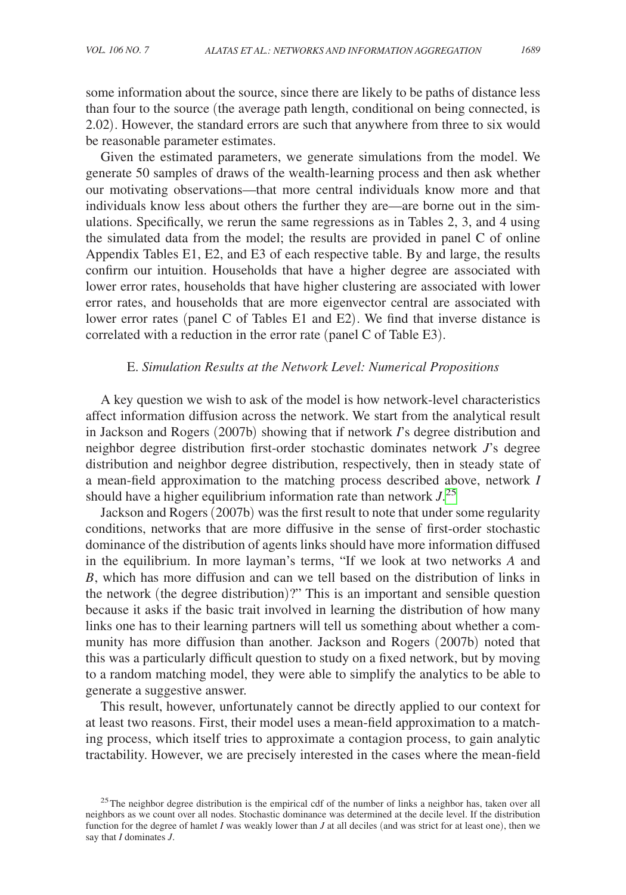some information about the source, since there are likely to be paths of distance less than four to the source (the average path length, conditional on being connected, is 2.02). However, the standard errors are such that anywhere from three to six would be reasonable parameter estimates.

Given the estimated parameters, we generate simulations from the model. We generate 50 samples of draws of the wealth-learning process and then ask whether our motivating observations—that more central individuals know more and that individuals know less about others the further they are—are borne out in the simulations. Specifically, we rerun the same regressions as in Tables 2, 3, and 4 using the simulated data from the model; the results are provided in panel C of online Appendix Tables E1, E2, and E3 of each respective table. By and large, the results confirm our intuition. Households that have a higher degree are associated with lower error rates, households that have higher clustering are associated with lower error rates, and households that are more eigenvector central are associated with lower error rates (panel C of Tables E1 and E2). We find that inverse distance is correlated with a reduction in the error rate (panel C of Table E3).

### E. *Simulation Results at the Network Level: Numerical Propositions*

A key question we wish to ask of the model is how network-level characteristics affect information diffusion across the network. We start from the analytical result in Jackson and Rogers (2007b) showing that if network *I*'s degree distribution and neighbor degree distribution first-order stochastic dominates network *J*'s degree distribution and neighbor degree distribution, respectively, then in steady state of a mean-field approximation to the matching process described above, network *I* should have a higher equilibrium information rate than network  $J^{25}$  $J^{25}$  $J^{25}$ 

Jackson and Rogers (2007b) was the first result to note that under some regularity conditions, networks that are more diffusive in the sense of first-order stochastic dominance of the distribution of agents links should have more information diffused in the equilibrium. In more layman's terms, "If we look at two networks *A* and *B*, which has more diffusion and can we tell based on the distribution of links in the network (the degree distribution)?" This is an important and sensible question because it asks if the basic trait involved in learning the distribution of how many links one has to their learning partners will tell us something about whether a community has more diffusion than another. Jackson and Rogers (2007b) noted that this was a particularly difficult question to study on a fixed network, but by moving to a random matching model, they were able to simplify the analytics to be able to generate a suggestive answer.

This result, however, unfortunately cannot be directly applied to our context for at least two reasons. First, their model uses a mean-field approximation to a matching process, which itself tries to approximate a contagion process, to gain analytic tractability. However, we are precisely interested in the cases where the mean-field

<span id="page-26-0"></span> $25$ The neighbor degree distribution is the empirical cdf of the number of links a neighbor has, taken over all neighbors as we count over all nodes. Stochastic dominance was determined at the decile level. If the distribution function for the degree of hamlet *I* was weakly lower than *J* at all deciles (and was strict for at least one), then we say that *I* dominates *J*.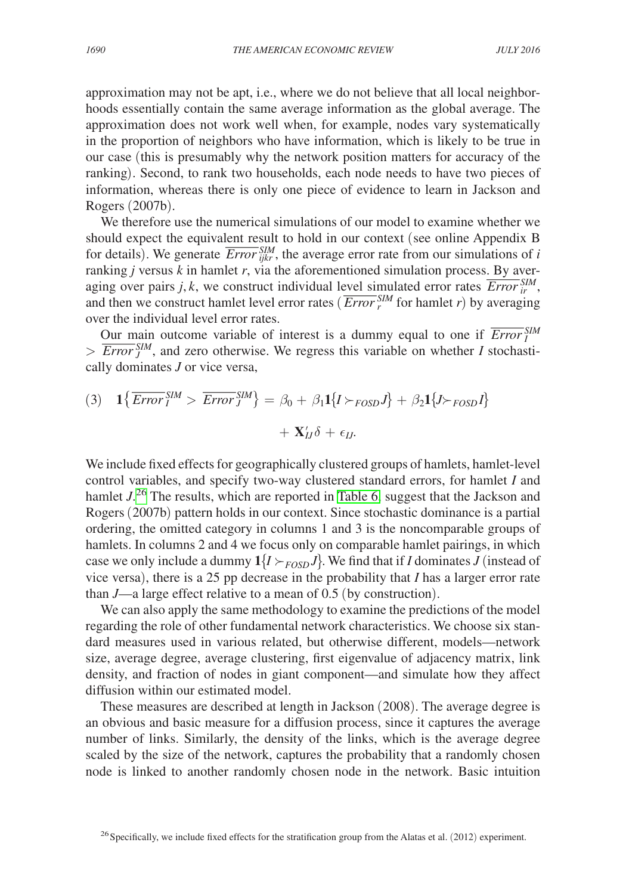approximation may not be apt, i.e., where we do not believe that all local neighborhoods essentially contain the same average information as the global average. The approximation does not work well when, for example, nodes vary systematically in the proportion of neighbors who have information, which is likely to be true in our case (this is presumably why the network position matters for accuracy of the ranking). Second, to rank two households, each node needs to have two pieces of information, whereas there is only one piece of evidence to learn in Jackson and Rogers (2007b).

We therefore use the numerical simulations of our model to examine whether we should expect the equivalent result to hold in our context (see online Appendix B for details). We generate  $\frac{SIM}{Error_{ijkr}}$ , the average error rate from our simulations of *i* ranking *j* versus *k* in hamlet *r*, via the aforementioned simulation process. By averaging over pairs *j*, *k*, we construct individual level simulated error rates  $\overline{Error}_{ir}^{SIM}$ , aging over pairs *j*,  $\kappa$ , we construct individual level simulated error rates  $\sum_{i} P_{i}$ , and then we construct hamlet level error rates ( $\overline{Error}_{i}^{SM}$  for hamlet *r*) by averaging over the individual level error rates.

Our main outcome variable of interest is a dummy equal to one if  $\overline{Error}^{\text{SIM}}_I$  $> \frac{644}{\text{Error}} \frac{\text{Sum}}{5M}$ , and zero otherwise. We regress this variable on whether *I* stochastically dominates *J* or vice versa,

(3) 
$$
1\{\overline{Error}^{SIM}_I > \overline{Error}^{SIM}_J\} = \beta_0 + \beta_1 1\{I \succ_{FOSD} J\} + \beta_2 1\{J \succ_{FOSD} I\}
$$
  
+  $\mathbf{X}'_{IJ}\delta + \epsilon_{IJ}$ .

We include fixed effects for geographically clustered groups of hamlets, hamlet-level control variables, and specify two-way clustered standard errors, for hamlet *I* and hamlet  $J^{26}$  $J^{26}$  $J^{26}$ . The results, which are reported in [Table 6,](#page-28-0) suggest that the Jackson and Rogers (2007b) pattern holds in our context. Since stochastic dominance is a partial ordering, the omitted category in columns 1 and 3 is the noncomparable groups of hamlets. In columns 2 and 4 we focus only on comparable hamlet pairings, in which case we only include a dummy  $1\{I \succ_{FOSD} J\}$ . We find that if *I* dominates *J* (instead of vice versa), there is a 25 pp decrease in the probability that *I* has a larger error rate than *J*—a large effect relative to a mean of 0.5 (by construction).

We can also apply the same methodology to examine the predictions of the model regarding the role of other fundamental network characteristics. We choose six standard measures used in various related, but otherwise different, models—network size, average degree, average clustering, first eigenvalue of adjacency matrix, link density, and fraction of nodes in giant component—and simulate how they affect diffusion within our estimated model.

These measures are described at length in Jackson (2008). The average degree is an obvious and basic measure for a diffusion process, since it captures the average number of links. Similarly, the density of the links, which is the average degree scaled by the size of the network, captures the probability that a randomly chosen node is linked to another randomly chosen node in the network. Basic intuition

<span id="page-27-0"></span><sup>&</sup>lt;sup>26</sup> Specifically, we include fixed effects for the stratification group from the Alatas et al. (2012) experiment.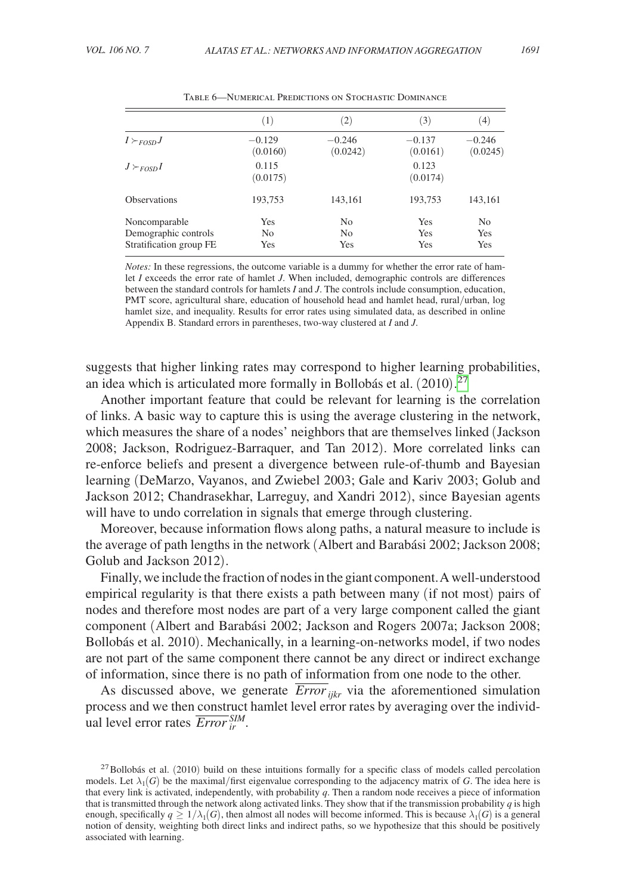<span id="page-28-0"></span>

| (1)                          | $\left( 2\right)$                       | (3)                  | (4)                          |
|------------------------------|-----------------------------------------|----------------------|------------------------------|
| $-0.129$<br>(0.0160)         | $-0.246$<br>(0.0242)                    | $-0.137$<br>(0.0161) | $-0.246$<br>(0.0245)         |
| 0.115<br>(0.0175)            |                                         | 0.123<br>(0.0174)    |                              |
| 193,753                      | 143,161                                 | 193,753              | 143,161                      |
| Yes<br>N <sub>0</sub><br>Yes | N <sub>0</sub><br>N <sub>o</sub><br>Yes | Yes<br>Yes<br>Yes    | N <sub>0</sub><br>Yes<br>Yes |
|                              |                                         |                      |                              |

Table 6—Numerical Predictions on Stochastic Dominance

*Notes:* In these regressions, the outcome variable is a dummy for whether the error rate of hamlet *I* exceeds the error rate of hamlet *J*. When included, demographic controls are differences between the standard controls for hamlets *I* and *J*. The controls include consumption, education, PMT score, agricultural share, education of household head and hamlet head, rural/urban, log hamlet size, and inequality. Results for error rates using simulated data, as described in online Appendix B. Standard errors in parentheses, two-way clustered at *I* and *J*.

suggests that higher linking rates may correspond to higher learning probabilities, an idea which is articulated more formally in Bollobás et al.  $(2010)$ .<sup>[27](#page-28-1)</sup>

Another important feature that could be relevant for learning is the correlation of links. A basic way to capture this is using the average clustering in the network, which measures the share of a nodes' neighbors that are themselves linked (Jackson 2008; Jackson, Rodriguez-Barraquer, and Tan 2012). More correlated links can re-enforce beliefs and present a divergence between rule-of-thumb and Bayesian learning (DeMarzo, Vayanos, and Zwiebel 2003; Gale and Kariv 2003; Golub and Jackson 2012; Chandrasekhar, Larreguy, and Xandri 2012), since Bayesian agents will have to undo correlation in signals that emerge through clustering.

Moreover, because information flows along paths, a natural measure to include is the average of path lengths in the network (Albert and Barabási 2002; Jackson 2008; Golub and Jackson 2012).

Finally, we include the fraction of nodes in the giant component. A well-understood empirical regularity is that there exists a path between many (if not most) pairs of nodes and therefore most nodes are part of a very large component called the giant component (Albert and Barabási 2002; Jackson and Rogers 2007a; Jackson 2008; Bollobás et al. 2010). Mechanically, in a learning-on-networks model, if two nodes are not part of the same component there cannot be any direct or indirect exchange of information, since there is no path of information from one node to the other.

As discussed above, we generate  $\overline{Error}_{iikr}$  via the aforementioned simulation process and we then construct hamlet level error rates by averaging over the individprocess and we then construct<br>ual level error rates  $\overline{Error}_{ir}^{SIM}$ .

<span id="page-28-1"></span> $27$ Bollobás et al. (2010) build on these intuitions formally for a specific class of models called percolation models. Let  $\lambda_1(G)$  be the maximal/first eigenvalue corresponding to the adjacency matrix of *G*. The idea here is that every link is activated, independently, with probability *q*. Then a random node receives a piece of information that is transmitted through the network along activated links. They show that if the transmission probability  $q$  is high enough, specifically  $q \geq 1/\lambda_1(G)$ , then almost all nodes will become informed. This is because  $\lambda_1(G)$  is a general notion of density, weighting both direct links and indirect paths, so we hypothesize that this should be positively associated with learning.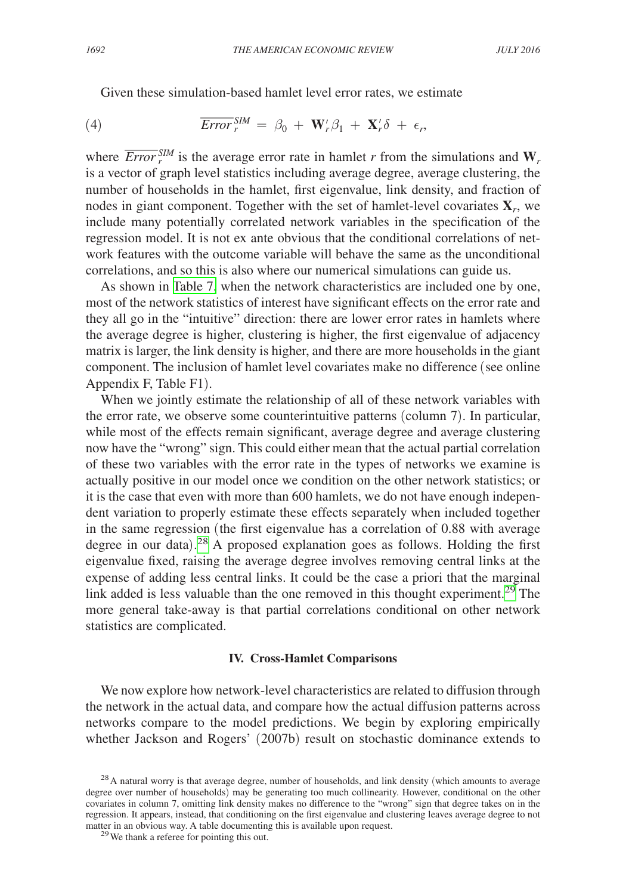Given these simulation-based hamlet level error rates, we estimate

(4) 
$$
\overline{Error}_{r}^{SM} = \beta_0 + \mathbf{W}_{r}'\beta_1 + \mathbf{X}_{r}'\delta + \epsilon_r,
$$

where  $\overline{Error}^{\text{SIM}}_r$  is the average error rate in hamlet *r* from the simulations and  $\mathbf{W}_r$ is a vector of graph level statistics including average degree, average clustering, the number of households in the hamlet, first eigenvalue, link density, and fraction of nodes in giant component. Together with the set of hamlet-level covariates **X***r*, we include many potentially correlated network variables in the specification of the regression model. It is not ex ante obvious that the conditional correlations of network features with the outcome variable will behave the same as the unconditional correlations, and so this is also where our numerical simulations can guide us.

As shown in [Table 7,](#page-30-0) when the network characteristics are included one by one, most of the network statistics of interest have significant effects on the error rate and they all go in the "intuitive" direction: there are lower error rates in hamlets where the average degree is higher, clustering is higher, the first eigenvalue of adjacency matrix is larger, the link density is higher, and there are more households in the giant component. The inclusion of hamlet level covariates make no difference (see online Appendix F, Table F1).

When we jointly estimate the relationship of all of these network variables with the error rate, we observe some counterintuitive patterns (column 7). In particular, while most of the effects remain significant, average degree and average clustering now have the "wrong" sign. This could either mean that the actual partial correlation of these two variables with the error rate in the types of networks we examine is actually positive in our model once we condition on the other network statistics; or it is the case that even with more than 600 hamlets, we do not have enough independent variation to properly estimate these effects separately when included together in the same regression (the first eigenvalue has a correlation of 0.88 with average degree in our data). [28](#page-29-0) A proposed explanation goes as follows. Holding the first eigenvalue fixed, raising the average degree involves removing central links at the expense of adding less central links. It could be the case a priori that the marginal link added is less valuable than the one removed in this thought experiment.<sup>[29](#page-29-1)</sup> The more general take-away is that partial correlations conditional on other network statistics are complicated.

### **IV. Cross-Hamlet Comparisons**

We now explore how network-level characteristics are related to diffusion through the network in the actual data, and compare how the actual diffusion patterns across networks compare to the model predictions. We begin by exploring empirically whether Jackson and Rogers' (2007b) result on stochastic dominance extends to

<span id="page-29-0"></span><sup>&</sup>lt;sup>28</sup>A natural worry is that average degree, number of households, and link density (which amounts to average degree over number of households) may be generating too much collinearity. However, conditional on the other covariates in column 7, omitting link density makes no difference to the "wrong" sign that degree takes on in the regression. It appears, instead, that conditioning on the first eigenvalue and clustering leaves average degree to not matter in an obvious way. A table documenting this is available upon request. <sup>29</sup>We thank a referee for pointing this out.

<span id="page-29-1"></span>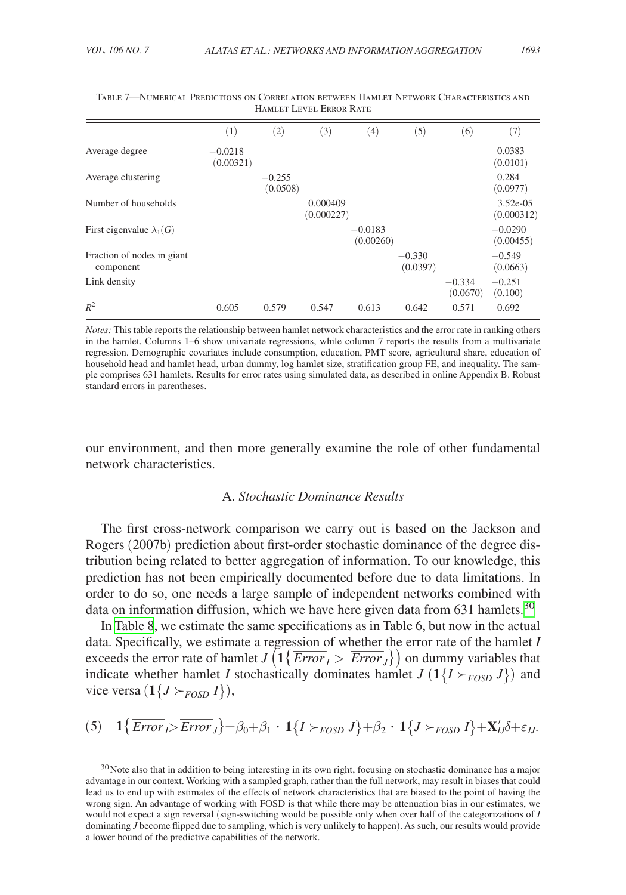|                                         | (1)                    | (2)                  | (3)                    | $\left(4\right)$       | (5)                  | (6)                  | (7)                      |
|-----------------------------------------|------------------------|----------------------|------------------------|------------------------|----------------------|----------------------|--------------------------|
| Average degree                          | $-0.0218$<br>(0.00321) |                      |                        |                        |                      |                      | 0.0383<br>(0.0101)       |
| Average clustering                      |                        | $-0.255$<br>(0.0508) |                        |                        |                      |                      | 0.284<br>(0.0977)        |
| Number of households                    |                        |                      | 0.000409<br>(0.000227) |                        |                      |                      | $3.52e-05$<br>(0.000312) |
| First eigenvalue $\lambda_1(G)$         |                        |                      |                        | $-0.0183$<br>(0.00260) |                      |                      | $-0.0290$<br>(0.00455)   |
| Fraction of nodes in giant<br>component |                        |                      |                        |                        | $-0.330$<br>(0.0397) |                      | $-0.549$<br>(0.0663)     |
| Link density                            |                        |                      |                        |                        |                      | $-0.334$<br>(0.0670) | $-0.251$<br>(0.100)      |
| $R^2$                                   | 0.605                  | 0.579                | 0.547                  | 0.613                  | 0.642                | 0.571                | 0.692                    |

<span id="page-30-0"></span>

| TABLE 7—NUMERICAL PREDICTIONS ON CORRELATION BETWEEN HAMLET NETWORK CHARACTERISTICS AND |  |
|-----------------------------------------------------------------------------------------|--|
| HAMLET LEVEL ERROR RATE                                                                 |  |

*Notes:* This table reports the relationship between hamlet network characteristics and the error rate in ranking others in the hamlet. Columns 1–6 show univariate regressions, while column 7 reports the results from a multivariate regression. Demographic covariates include consumption, education, PMT score, agricultural share, education of household head and hamlet head, urban dummy, log hamlet size, stratification group FE, and inequality. The sample comprises 631 hamlets. Results for error rates using simulated data, as described in online Appendix B. Robust standard errors in parentheses.

our environment, and then more generally examine the role of other fundamental network characteristics.

# A. *Stochastic Dominance Results*

The first cross-network comparison we carry out is based on the Jackson and Rogers (2007b) prediction about first-order stochastic dominance of the degree distribution being related to better aggregation of information. To our knowledge, this prediction has not been empirically documented before due to data limitations. In order to do so, one needs a large sample of independent networks combined with data on information diffusion, which we have here given data from  $631$  hamlets.<sup>[30](#page-30-1)</sup>

In [Table 8](#page-31-0), we estimate the same specifications as in Table 6, but now in the actual data. Specifically, we estimate a regression of whether the error rate of the hamlet *I* exceeds the error rate of hamlet *J* ( $1\{\overline{Error}_I > \overline{Error}_J\}$ ) on dummy variables that indicate whether hamlet *I* stochastically dominates hamlet  $J(1{I \succ_{FOSD} J})$  and vice versa  $(1{J \succ_{FOSD} I}),$ 

$$
(5) \quad 1\{\overline{Error}_I > \overline{Error}_J\} = \beta_0 + \beta_1 \cdot 1\{I \succ_{FOSD} J\} + \beta_2 \cdot 1\{J \succ_{FOSD} I\} + \mathbf{X}'_{IJ}\delta + \varepsilon_{IJ}.
$$

<span id="page-30-1"></span> $30$ Note also that in addition to being interesting in its own right, focusing on stochastic dominance has a major advantage in our context. Working with a sampled graph, rather than the full network, may result in biases that could lead us to end up with estimates of the effects of network characteristics that are biased to the point of having the wrong sign. An advantage of working with FOSD is that while there may be attenuation bias in our estimates, we would not expect a sign reversal (sign-switching would be possible only when over half of the categorizations of *I* dominating *J* become flipped due to sampling, which is very unlikely to happen). As such, our results would provide a lower bound of the predictive capabilities of the network.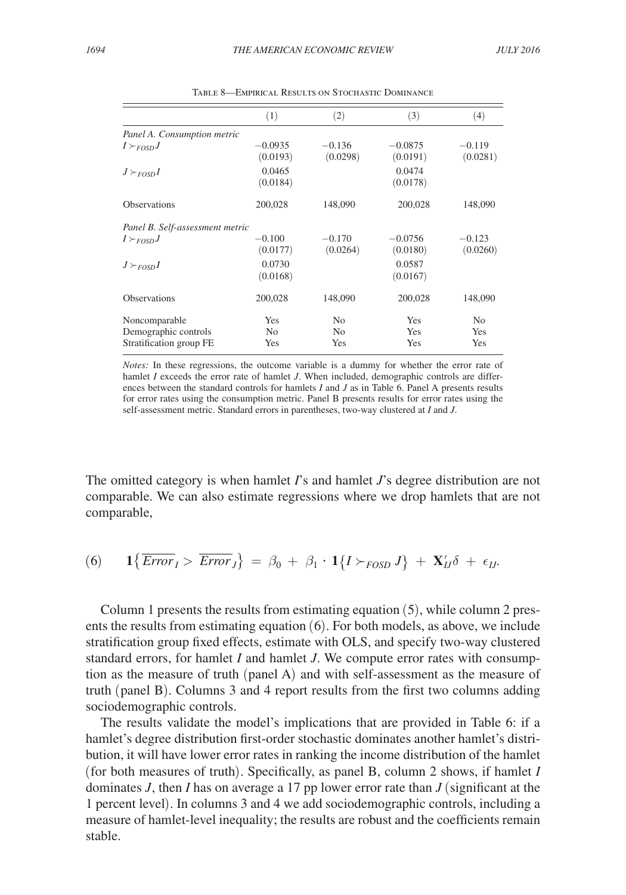<span id="page-31-0"></span>

|                                 | (1)                   | (2)                  | (3)                   | (4)                  |
|---------------------------------|-----------------------|----------------------|-----------------------|----------------------|
| Panel A. Consumption metric     |                       |                      |                       |                      |
| $I \succ_{FOSD} J$              | $-0.0935$<br>(0.0193) | $-0.136$<br>(0.0298) | $-0.0875$<br>(0.0191) | $-0.119$<br>(0.0281) |
| $J \succ_{FOSD} I$              | 0.0465<br>(0.0184)    |                      | 0.0474<br>(0.0178)    |                      |
| <b>Observations</b>             | 200,028               | 148,090              | 200,028               | 148,090              |
| Panel B. Self-assessment metric |                       |                      |                       |                      |
| $I \succ_{FOSD} J$              | $-0.100$<br>(0.0177)  | $-0.170$<br>(0.0264) | $-0.0756$<br>(0.0180) | $-0.123$<br>(0.0260) |
| $J \succ_{FOSD} I$              | 0.0730<br>(0.0168)    |                      | 0.0587<br>(0.0167)    |                      |
| <b>Observations</b>             | 200,028               | 148,090              | 200,028               | 148,090              |
| Noncomparable                   | <b>Yes</b>            | N <sub>0</sub>       | Yes                   | No.                  |
| Demographic controls            | No                    | No                   | <b>Yes</b>            | <b>Yes</b>           |
| Stratification group FE         | Yes                   | Yes                  | Yes                   | <b>Yes</b>           |

Table 8—Empirical Results on Stochastic Dominance

*Notes:* In these regressions, the outcome variable is a dummy for whether the error rate of hamlet *I* exceeds the error rate of hamlet *J*. When included, demographic controls are differences between the standard controls for hamlets *I* and *J* as in Table 6. Panel A presents results for error rates using the consumption metric. Panel B presents results for error rates using the self-assessment metric. Standard errors in parentheses, two-way clustered at *I* and *J*.

The omitted category is when hamlet *I*'s and hamlet *J*'s degree distribution are not comparable. We can also estimate regressions where we drop hamlets that are not comparable,

(6) 
$$
1\{\overline{Error}_I > \overline{Error}_J\} = \beta_0 + \beta_1 \cdot 1\{I \succ_{FOSD} J\} + \mathbf{X}'_U \delta + \epsilon_U.
$$

Column 1 presents the results from estimating equation (5), while column 2 presents the results from estimating equation (6). For both models, as above, we include stratification group fixed effects, estimate with OLS, and specify two-way clustered standard errors, for hamlet *I* and hamlet *J*. We compute error rates with consumption as the measure of truth (panel A) and with self-assessment as the measure of truth (panel B). Columns 3 and 4 report results from the first two columns adding sociodemographic controls.

The results validate the model's implications that are provided in Table 6: if a hamlet's degree distribution first-order stochastic dominates another hamlet's distribution, it will have lower error rates in ranking the income distribution of the hamlet (for both measures of truth). Specifically, as panel B, column 2 shows, if hamlet *I* dominates *J*, then *I* has on average a 17 pp lower error rate than *J* (significant at the 1 percent level). In columns 3 and 4 we add sociodemographic controls, including a measure of hamlet-level inequality; the results are robust and the coefficients remain stable.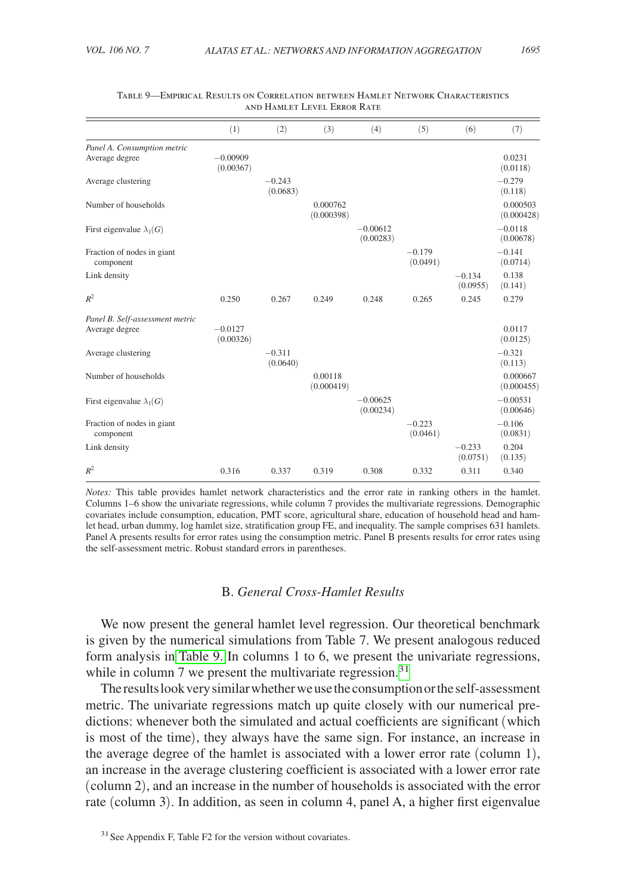|                                                   | (1)                     | (2)                  | (3)                    | (4)                     | (5)                  | (6)                  | (7)                     |
|---------------------------------------------------|-------------------------|----------------------|------------------------|-------------------------|----------------------|----------------------|-------------------------|
| Panel A. Consumption metric                       |                         |                      |                        |                         |                      |                      |                         |
| Average degree                                    | $-0.00909$<br>(0.00367) |                      |                        |                         |                      |                      | 0.0231<br>(0.0118)      |
| Average clustering                                |                         | $-0.243$<br>(0.0683) |                        |                         |                      |                      | $-0.279$<br>(0.118)     |
| Number of households                              |                         |                      | 0.000762<br>(0.000398) |                         |                      |                      | 0.000503<br>(0.000428)  |
| First eigenvalue $\lambda_1(G)$                   |                         |                      |                        | $-0.00612$<br>(0.00283) |                      |                      | $-0.0118$<br>(0.00678)  |
| Fraction of nodes in giant<br>component           |                         |                      |                        |                         | $-0.179$<br>(0.0491) |                      | $-0.141$<br>(0.0714)    |
| Link density                                      |                         |                      |                        |                         |                      | $-0.134$<br>(0.0955) | 0.138<br>(0.141)        |
| $R^2$                                             | 0.250                   | 0.267                | 0.249                  | 0.248                   | 0.265                | 0.245                | 0.279                   |
| Panel B. Self-assessment metric<br>Average degree | $-0.0127$<br>(0.00326)  |                      |                        |                         |                      |                      | 0.0117<br>(0.0125)      |
| Average clustering                                |                         | $-0.311$<br>(0.0640) |                        |                         |                      |                      | $-0.321$<br>(0.113)     |
| Number of households                              |                         |                      | 0.00118<br>(0.000419)  |                         |                      |                      | 0.000667<br>(0.000455)  |
| First eigenvalue $\lambda_1(G)$                   |                         |                      |                        | $-0.00625$<br>(0.00234) |                      |                      | $-0.00531$<br>(0.00646) |
| Fraction of nodes in giant<br>component           |                         |                      |                        |                         | $-0.223$<br>(0.0461) |                      | $-0.106$<br>(0.0831)    |
| Link density                                      |                         |                      |                        |                         |                      | $-0.233$<br>(0.0751) | 0.204<br>(0.135)        |
| $R^2$                                             | 0.316                   | 0.337                | 0.319                  | 0.308                   | 0.332                | 0.311                | 0.340                   |

#### Table 9—Empirical Results on Correlation between Hamlet Network Characteristics and Hamlet Level Error Rate

*Notes:* This table provides hamlet network characteristics and the error rate in ranking others in the hamlet. Columns 1–6 show the univariate regressions, while column 7 provides the multivariate regressions. Demographic covariates include consumption, education, PMT score, agricultural share, education of household head and hamlet head, urban dummy, log hamlet size, stratification group FE, and inequality. The sample comprises 631 hamlets. Panel A presents results for error rates using the consumption metric. Panel B presents results for error rates using the self-assessment metric. Robust standard errors in parentheses.

# B. *General Cross-Hamlet Results*

We now present the general hamlet level regression. Our theoretical benchmark is given by the numerical simulations from Table 7. We present analogous reduced form analysis in Table 9. In columns 1 to 6, we present the univariate regressions, while in column 7 we present the multivariate regression.<sup>[31](#page-32-0)</sup>

The results look very similar whether we use the consumption or the self-assessment metric. The univariate regressions match up quite closely with our numerical predictions: whenever both the simulated and actual coefficients are significant (which is most of the time), they always have the same sign. For instance, an increase in the average degree of the hamlet is associated with a lower error rate (column 1), an increase in the average clustering coefficient is associated with a lower error rate (column 2), and an increase in the number of households is associated with the error rate (column 3). In addition, as seen in column 4, panel A, a higher first eigenvalue

<span id="page-32-0"></span> $31$  See Appendix F, Table F2 for the version without covariates.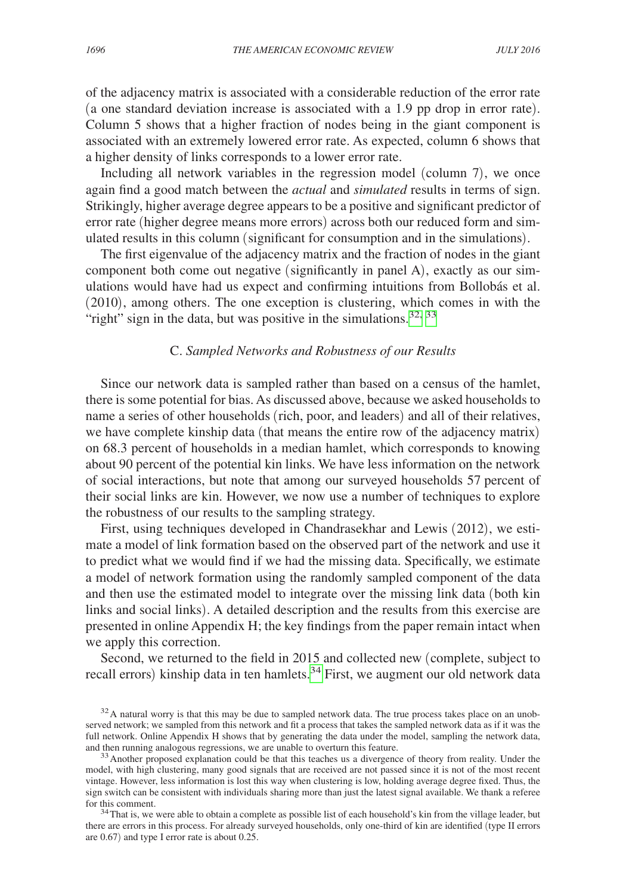of the adjacency matrix is associated with a considerable reduction of the error rate (a one standard deviation increase is associated with a 1.9 pp drop in error rate). Column 5 shows that a higher fraction of nodes being in the giant component is associated with an extremely lowered error rate. As expected, column 6 shows that a higher density of links corresponds to a lower error rate.

Including all network variables in the regression model (column 7), we once again find a good match between the *actual* and *simulated* results in terms of sign. Strikingly, higher average degree appears to be a positive and significant predictor of error rate (higher degree means more errors) across both our reduced form and simulated results in this column (significant for consumption and in the simulations).

The first eigenvalue of the adjacency matrix and the fraction of nodes in the giant component both come out negative (significantly in panel A), exactly as our simulations would have had us expect and confirming intuitions from Bollobás et al. (2010), among others. The one exception is clustering, which comes in with the "right" sign in the data, but was positive in the simulations.<sup>32, [33](#page-33-1)</sup>

# C. *Sampled Networks and Robustness of our Results*

Since our network data is sampled rather than based on a census of the hamlet, there is some potential for bias. As discussed above, because we asked households to name a series of other households (rich, poor, and leaders) and all of their relatives, we have complete kinship data (that means the entire row of the adjacency matrix) on 68.3 percent of households in a median hamlet, which corresponds to knowing about 90 percent of the potential kin links. We have less information on the network of social interactions, but note that among our surveyed households 57 percent of their social links are kin. However, we now use a number of techniques to explore the robustness of our results to the sampling strategy.

First, using techniques developed in Chandrasekhar and Lewis (2012), we estimate a model of link formation based on the observed part of the network and use it to predict what we would find if we had the missing data. Specifically, we estimate a model of network formation using the randomly sampled component of the data and then use the estimated model to integrate over the missing link data (both kin links and social links). A detailed description and the results from this exercise are presented in online Appendix H; the key findings from the paper remain intact when we apply this correction.

Second, we returned to the field in 2015 and collected new (complete, subject to recall errors) kinship data in ten hamlets.<sup>34</sup> First, we augment our old network data

<span id="page-33-0"></span> $32A$  natural worry is that this may be due to sampled network data. The true process takes place on an unobserved network; we sampled from this network and fit a process that takes the sampled network data as if it was the full network. Online Appendix H shows that by generating the data under the model, sampling the network data, and then running analogous regressions, we are unable to overturn this feature.

<span id="page-33-1"></span><sup>&</sup>lt;sup>33</sup> Another proposed explanation could be that this teaches us a divergence of theory from reality. Under the model, with high clustering, many good signals that are received are not passed since it is not of the most recent vintage. However, less information is lost this way when clustering is low, holding average degree fixed. Thus, the sign switch can be consistent with individuals sharing more than just the latest signal available. We thank a referee for this comment.<br><sup>34</sup>That is, we were able to obtain a complete as possible list of each household's kin from the village leader, but

<span id="page-33-2"></span>there are errors in this process. For already surveyed households, only one-third of kin are identified (type II errors are 0.67) and type I error rate is about 0.25.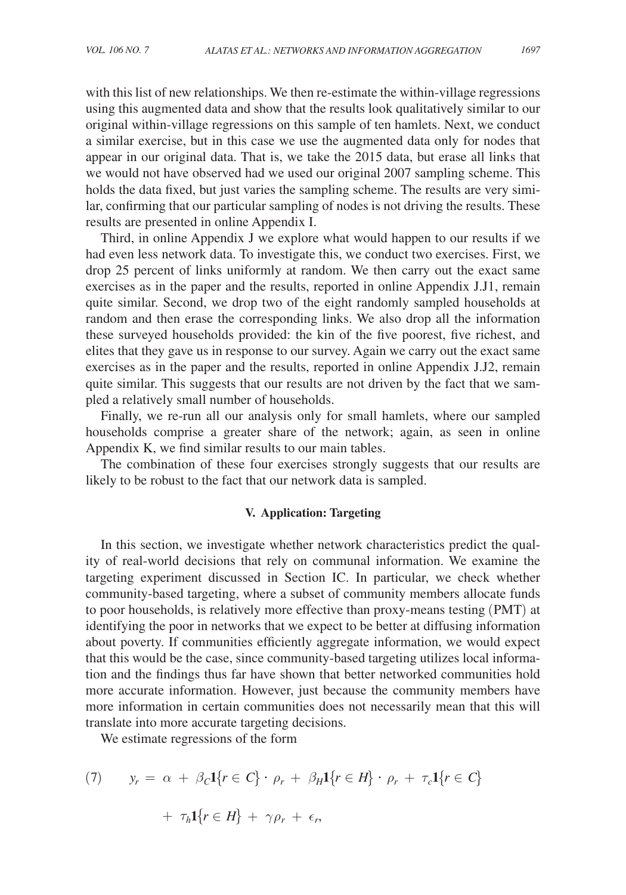with this list of new relationships. We then re-estimate the within-village regressions using this augmented data and show that the results look qualitatively similar to our original within-village regressions on this sample of ten hamlets. Next, we conduct a similar exercise, but in this case we use the augmented data only for nodes that appear in our original data. That is, we take the 2015 data, but erase all links that we would not have observed had we used our original 2007 sampling scheme. This holds the data fixed, but just varies the sampling scheme. The results are very similar, confirming that our particular sampling of nodes is not driving the results. These results are presented in online Appendix I.

Third, in online Appendix J we explore what would happen to our results if we had even less network data. To investigate this, we conduct two exercises. First, we drop 25 percent of links uniformly at random. We then carry out the exact same exercises as in the paper and the results, reported in online Appendix J.J1, remain quite similar. Second, we drop two of the eight randomly sampled households at random and then erase the corresponding links. We also drop all the information these surveyed households provided: the kin of the five poorest, five richest, and elites that they gave us in response to our survey. Again we carry out the exact same exercises as in the paper and the results, reported in online Appendix J.J2, remain quite similar. This suggests that our results are not driven by the fact that we sampled a relatively small number of households.

Finally, we re-run all our analysis only for small hamlets, where our sampled households comprise a greater share of the network; again, as seen in online Appendix K, we find similar results to our main tables.

The combination of these four exercises strongly suggests that our results are likely to be robust to the fact that our network data is sampled.

#### **V. Application: Targeting**

In this section, we investigate whether network characteristics predict the quality of real-world decisions that rely on communal information. We examine the targeting experiment discussed in Section IC. In particular, we check whether community-based targeting, where a subset of community members allocate funds to poor households, is relatively more effective than proxy-means testing (PMT) at identifying the poor in networks that we expect to be better at diffusing information about poverty. If communities efficiently aggregate information, we would expect that this would be the case, since community-based targeting utilizes local information and the findings thus far have shown that better networked communities hold more accurate information. However, just because the community members have more information in certain communities does not necessarily mean that this will translate into more accurate targeting decisions.

We estimate regressions of the form

(7) 
$$
y_r = \alpha + \beta_c \mathbf{1}\{r \in C\} \cdot \rho_r + \beta_H \mathbf{1}\{r \in H\} \cdot \rho_r + \tau_c \mathbf{1}\{r \in C\}
$$

$$
+ \tau_h \mathbf{1}\{r \in H\} + \gamma \rho_r + \epsilon_r,
$$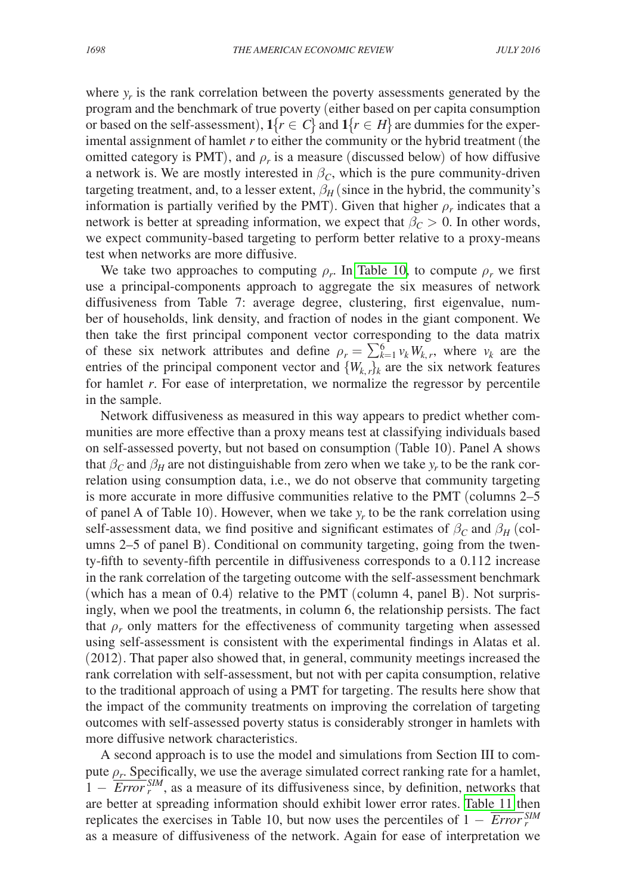where  $y_r$  is the rank correlation between the poverty assessments generated by the program and the benchmark of true poverty (either based on per capita consumption or based on the self-assessment),  $1\{r \in C\}$  and  $1\{r \in H\}$  are dummies for the experimental assignment of hamlet *r* to either the community or the hybrid treatment (the omitted category is PMT), and  $\rho_r$  is a measure (discussed below) of how diffusive a network is. We are mostly interested in  $\beta_c$ , which is the pure community-driven targeting treatment, and, to a lesser extent,  $\beta_H$  (since in the hybrid, the community's information is partially verified by the PMT). Given that higher  $\rho_r$  indicates that a network is better at spreading information, we expect that  $\beta_C > 0$ . In other words, we expect community-based targeting to perform better relative to a proxy-means test when networks are more diffusive.

We take two approaches to computing  $\rho_r$ . In [Table 10,](#page-36-0) to compute  $\rho_r$  we first use a principal-components approach to aggregate the six measures of network diffusiveness from Table 7: average degree, clustering, first eigenvalue, number of households, link density, and fraction of nodes in the giant component. We then take the first principal component vector corresponding to the data matrix of these six network attributes and define  $\rho_r = \sum_{k=1}^{6} v_k W_{k,r}$ , where  $v_k$  are the entries of the principal component vector and  $\{W_{k,r}\}_k$  are the six network features for hamlet *r*. For ease of interpretation, we normalize the regressor by percentile in the sample.

Network diffusiveness as measured in this way appears to predict whether communities are more effective than a proxy means test at classifying individuals based on self-assessed poverty, but not based on consumption (Table 10). Panel A shows that  $\beta_c$  and  $\beta_H$  are not distinguishable from zero when we take  $y_r$  to be the rank correlation using consumption data, i.e., we do not observe that community targeting is more accurate in more diffusive communities relative to the PMT (columns 2–5 of panel A of Table 10). However, when we take  $y_r$  to be the rank correlation using self-assessment data, we find positive and significant estimates of  $\beta_c$  and  $\beta_H$  (columns 2–5 of panel B). Conditional on community targeting, going from the twenty-fifth to seventy-fifth percentile in diffusiveness corresponds to a 0.112 increase in the rank correlation of the targeting outcome with the self-assessment benchmark (which has a mean of 0.4) relative to the PMT (column 4, panel B). Not surprisingly, when we pool the treatments, in column 6, the relationship persists. The fact that  $\rho_r$  only matters for the effectiveness of community targeting when assessed using self-assessment is consistent with the experimental findings in Alatas et al. (2012). That paper also showed that, in general, community meetings increased the rank correlation with self-assessment, but not with per capita consumption, relative to the traditional approach of using a PMT for targeting. The results here show that the impact of the community treatments on improving the correlation of targeting outcomes with self-assessed poverty status is considerably stronger in hamlets with more diffusive network characteristics.

A second approach is to use the model and simulations from Section III to compute  $\rho_r$ . Specifically, we use the average simulated correct ranking rate for a hamlet,  $1 - \frac{F_r}{Error}$ <sup>SIM</sup>, as a measure of its diffusiveness since, by definition, networks that are better at spreading information should exhibit lower error rates. [Table 11](#page-37-0) then replicates the exercises in Table 10, but now uses the percentiles of  $1 - \frac{Error_{\gamma}^{SIM}}{Error_{\gamma}^{SIM}}$ as a measure of diffusiveness of the network. Again for ease of interpretation we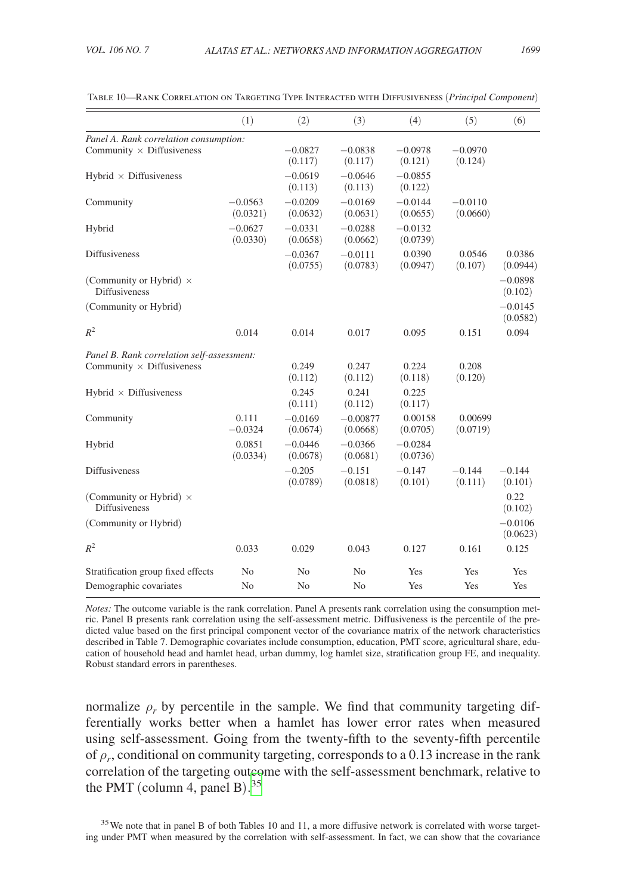|                                                        | (1)                   | (2)                   | (3)                    | (4)                   | (5)                   | (6)                   |  |
|--------------------------------------------------------|-----------------------|-----------------------|------------------------|-----------------------|-----------------------|-----------------------|--|
| Panel A. Rank correlation consumption:                 |                       |                       |                        |                       |                       |                       |  |
| Community $\times$ Diffusiveness                       |                       | $-0.0827$<br>(0.117)  | $-0.0838$<br>(0.117)   | $-0.0978$<br>(0.121)  | $-0.0970$<br>(0.124)  |                       |  |
| Hybrid $\times$ Diffusiveness                          |                       | $-0.0619$<br>(0.113)  | $-0.0646$<br>(0.113)   | $-0.0855$<br>(0.122)  |                       |                       |  |
| Community                                              | $-0.0563$<br>(0.0321) | $-0.0209$<br>(0.0632) | $-0.0169$<br>(0.0631)  | $-0.0144$<br>(0.0655) | $-0.0110$<br>(0.0660) |                       |  |
| Hybrid                                                 | $-0.0627$<br>(0.0330) | $-0.0331$<br>(0.0658) | $-0.0288$<br>(0.0662)  | $-0.0132$<br>(0.0739) |                       |                       |  |
| <b>Diffusiveness</b>                                   |                       | $-0.0367$<br>(0.0755) | $-0.0111$<br>(0.0783)  | 0.0390<br>(0.0947)    | 0.0546<br>(0.107)     | 0.0386<br>(0.0944)    |  |
| (Community or Hybrid) $\times$<br><b>Diffusiveness</b> |                       |                       |                        |                       |                       | $-0.0898$<br>(0.102)  |  |
| (Community or Hybrid)                                  |                       |                       |                        |                       |                       | $-0.0145$<br>(0.0582) |  |
| $R^2$                                                  | 0.014                 | 0.014                 | 0.017                  | 0.095                 | 0.151                 | 0.094                 |  |
| Panel B. Rank correlation self-assessment:             |                       |                       |                        |                       |                       |                       |  |
| Community $\times$ Diffusiveness                       |                       | 0.249<br>(0.112)      | 0.247<br>(0.112)       | 0.224<br>(0.118)      | 0.208<br>(0.120)      |                       |  |
| Hybrid $\times$ Diffusiveness                          |                       | 0.245<br>(0.111)      | 0.241<br>(0.112)       | 0.225<br>(0.117)      |                       |                       |  |
| Community                                              | 0.111<br>$-0.0324$    | $-0.0169$<br>(0.0674) | $-0.00877$<br>(0.0668) | 0.00158<br>(0.0705)   | 0.00699<br>(0.0719)   |                       |  |
| Hybrid                                                 | 0.0851<br>(0.0334)    | $-0.0446$<br>(0.0678) | $-0.0366$<br>(0.0681)  | $-0.0284$<br>(0.0736) |                       |                       |  |
| <b>Diffusiveness</b>                                   |                       | $-0.205$<br>(0.0789)  | $-0.151$<br>(0.0818)   | $-0.147$<br>(0.101)   | $-0.144$<br>(0.111)   | $-0.144$<br>(0.101)   |  |
| (Community or Hybrid) $\times$<br><b>Diffusiveness</b> |                       |                       |                        |                       |                       | 0.22<br>(0.102)       |  |
| (Community or Hybrid)                                  |                       |                       |                        |                       |                       | $-0.0106$<br>(0.0623) |  |
| $R^2$                                                  | 0.033                 | 0.029                 | 0.043                  | 0.127                 | 0.161                 | 0.125                 |  |
| Stratification group fixed effects                     | N <sub>0</sub>        | N <sub>0</sub>        | N <sub>0</sub>         | Yes                   | Yes                   | Yes                   |  |
| Demographic covariates                                 | N <sub>0</sub>        | N <sub>o</sub>        | N <sub>0</sub>         | Yes                   | Yes                   | Yes                   |  |

<span id="page-36-0"></span>Table 10—Rank Correlation on Targeting Type Interacted with Diffusiveness (*Principal Component*)

*Notes:* The outcome variable is the rank correlation. Panel A presents rank correlation using the consumption metric. Panel B presents rank correlation using the self-assessment metric. Diffusiveness is the percentile of the predicted value based on the first principal component vector of the covariance matrix of the network characteristics described in Table 7. Demographic covariates include consumption, education, PMT score, agricultural share, education of household head and hamlet head, urban dummy, log hamlet size, stratification group FE, and inequality. Robust standard errors in parentheses.

normalize  $\rho_r$  by percentile in the sample. We find that community targeting differentially works better when a hamlet has lower error rates when measured using self-assessment. Going from the twenty-fifth to the seventy-fifth percentile of  $\rho_r$ , conditional on community targeting, corresponds to a 0.13 increase in the rank correlation of the targeting outcome with the self-assessment benchmark, relative to the PMT (column 4, panel B). [35](#page-36-1)

<span id="page-36-1"></span><sup>35</sup>We note that in panel B of both Tables 10 and 11, a more diffusive network is correlated with worse targeting under PMT when measured by the correlation with self-assessment. In fact, we can show that the covariance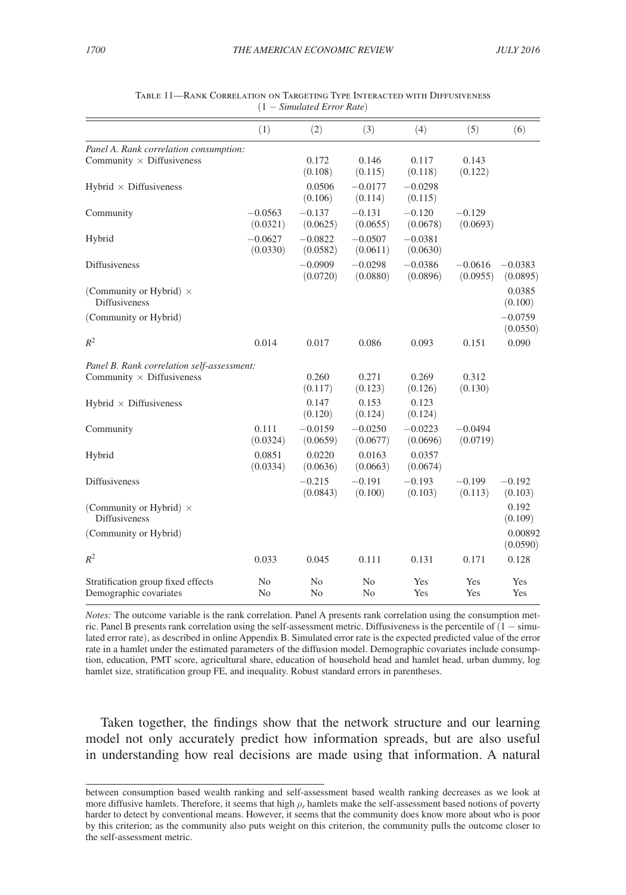<span id="page-37-0"></span>

|                                                              | (1)                              | (2)                   | (3)                   | (4)                   | (5)                   | (6)                   |
|--------------------------------------------------------------|----------------------------------|-----------------------|-----------------------|-----------------------|-----------------------|-----------------------|
| Panel A. Rank correlation consumption:                       |                                  |                       |                       |                       |                       |                       |
| Community $\times$ Diffusiveness                             |                                  | 0.172<br>(0.108)      | 0.146<br>(0.115)      | 0.117<br>(0.118)      | 0.143<br>(0.122)      |                       |
| Hybrid $\times$ Diffusiveness                                |                                  | 0.0506<br>(0.106)     | $-0.0177$<br>(0.114)  | $-0.0298$<br>(0.115)  |                       |                       |
| Community                                                    | $-0.0563$<br>(0.0321)            | $-0.137$<br>(0.0625)  | $-0.131$<br>(0.0655)  | $-0.120$<br>(0.0678)  | $-0.129$<br>(0.0693)  |                       |
| Hybrid                                                       | $-0.0627$<br>(0.0330)            | $-0.0822$<br>(0.0582) | $-0.0507$<br>(0.0611) | $-0.0381$<br>(0.0630) |                       |                       |
| <b>Diffusiveness</b>                                         |                                  | $-0.0909$<br>(0.0720) | $-0.0298$<br>(0.0880) | $-0.0386$<br>(0.0896) | $-0.0616$<br>(0.0955) | $-0.0383$<br>(0.0895) |
| (Community or Hybrid) $\times$<br><b>Diffusiveness</b>       |                                  |                       |                       |                       |                       | 0.0385<br>(0.100)     |
| (Community or Hybrid)                                        |                                  |                       |                       |                       |                       | $-0.0759$<br>(0.0550) |
| $R^2$                                                        | 0.014                            | 0.017                 | 0.086                 | 0.093                 | 0.151                 | 0.090                 |
| Panel B. Rank correlation self-assessment:                   |                                  |                       |                       |                       |                       |                       |
| Community $\times$ Diffusiveness                             |                                  | 0.260<br>(0.117)      | 0.271<br>(0.123)      | 0.269<br>(0.126)      | 0.312<br>(0.130)      |                       |
| Hybrid $\times$ Diffusiveness                                |                                  | 0.147<br>(0.120)      | 0.153<br>(0.124)      | 0.123<br>(0.124)      |                       |                       |
| Community                                                    | 0.111<br>(0.0324)                | $-0.0159$<br>(0.0659) | $-0.0250$<br>(0.0677) | $-0.0223$<br>(0.0696) | $-0.0494$<br>(0.0719) |                       |
| Hybrid                                                       | 0.0851<br>(0.0334)               | 0.0220<br>(0.0636)    | 0.0163<br>(0.0663)    | 0.0357<br>(0.0674)    |                       |                       |
| <b>Diffusiveness</b>                                         |                                  | $-0.215$<br>(0.0843)  | $-0.191$<br>(0.100)   | $-0.193$<br>(0.103)   | $-0.199$<br>(0.113)   | $-0.192$<br>(0.103)   |
| (Community or Hybrid) $\times$<br><b>Diffusiveness</b>       |                                  |                       |                       |                       |                       | 0.192<br>(0.109)      |
| (Community or Hybrid)                                        |                                  |                       |                       |                       |                       | 0.00892<br>(0.0590)   |
| $R^2$                                                        | 0.033                            | 0.045                 | 0.111                 | 0.131                 | 0.171                 | 0.128                 |
| Stratification group fixed effects<br>Demographic covariates | N <sub>0</sub><br>N <sub>0</sub> | No<br>No              | N <sub>0</sub><br>No  | Yes<br>Yes            | Yes<br>Yes            | Yes<br>Yes            |

| Table 11—Rank Correlation on Targeting Type Interacted with Diffusiveness |                              |  |
|---------------------------------------------------------------------------|------------------------------|--|
|                                                                           | $(1 - Simulated Error Rate)$ |  |

*Notes:* The outcome variable is the rank correlation. Panel A presents rank correlation using the consumption metric. Panel B presents rank correlation using the self-assessment metric. Diffusiveness is the percentile of (1 − simulated error rate), as described in online Appendix B. Simulated error rate is the expected predicted value of the error rate in a hamlet under the estimated parameters of the diffusion model. Demographic covariates include consumption, education, PMT score, agricultural share, education of household head and hamlet head, urban dummy, log hamlet size, stratification group FE, and inequality. Robust standard errors in parentheses.

Taken together, the findings show that the network structure and our learning model not only accurately predict how information spreads, but are also useful in understanding how real decisions are made using that information. A natural

between consumption based wealth ranking and self-assessment based wealth ranking decreases as we look at more diffusive hamlets. Therefore, it seems that high ρ*r* hamlets make the self-assessment based notions of poverty harder to detect by conventional means. However, it seems that the community does know more about who is poor by this criterion; as the community also puts weight on this criterion, the community pulls the outcome closer to the self-assessment metric.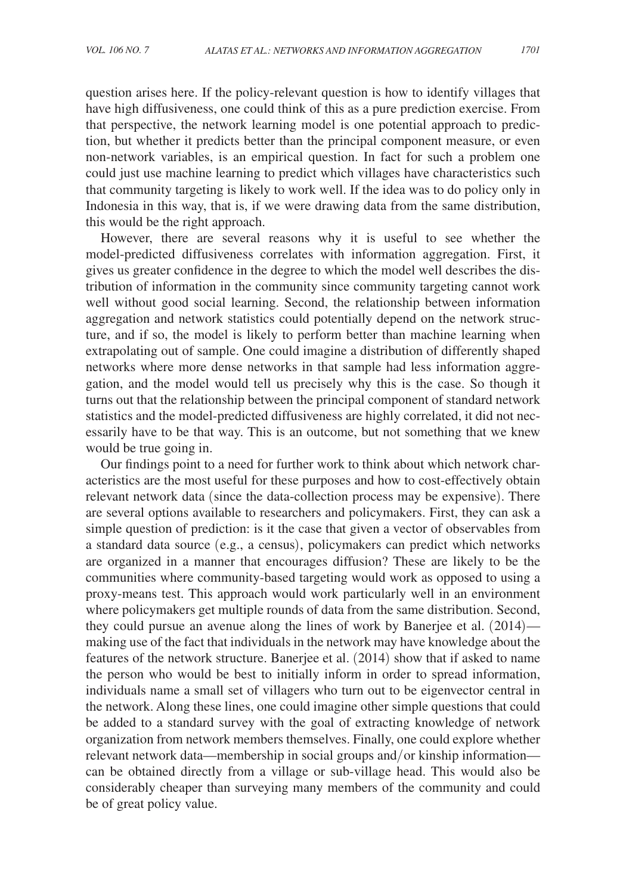question arises here. If the policy-relevant question is how to identify villages that have high diffusiveness, one could think of this as a pure prediction exercise. From that perspective, the network learning model is one potential approach to prediction, but whether it predicts better than the principal component measure, or even non-network variables, is an empirical question. In fact for such a problem one could just use machine learning to predict which villages have characteristics such that community targeting is likely to work well. If the idea was to do policy only in Indonesia in this way, that is, if we were drawing data from the same distribution, this would be the right approach.

However, there are several reasons why it is useful to see whether the model-predicted diffusiveness correlates with information aggregation. First, it gives us greater confidence in the degree to which the model well describes the distribution of information in the community since community targeting cannot work well without good social learning. Second, the relationship between information aggregation and network statistics could potentially depend on the network structure, and if so, the model is likely to perform better than machine learning when extrapolating out of sample. One could imagine a distribution of differently shaped networks where more dense networks in that sample had less information aggregation, and the model would tell us precisely why this is the case. So though it turns out that the relationship between the principal component of standard network statistics and the model-predicted diffusiveness are highly correlated, it did not necessarily have to be that way. This is an outcome, but not something that we knew would be true going in.

Our findings point to a need for further work to think about which network characteristics are the most useful for these purposes and how to cost-effectively obtain relevant network data (since the data-collection process may be expensive). There are several options available to researchers and policymakers. First, they can ask a simple question of prediction: is it the case that given a vector of observables from a standard data source (e.g., a census), policymakers can predict which networks are organized in a manner that encourages diffusion? These are likely to be the communities where community-based targeting would work as opposed to using a proxy-means test. This approach would work particularly well in an environment where policymakers get multiple rounds of data from the same distribution. Second, they could pursue an avenue along the lines of work by Banerjee et al. (2014) making use of the fact that individuals in the network may have knowledge about the features of the network structure. Banerjee et al. (2014) show that if asked to name the person who would be best to initially inform in order to spread information, individuals name a small set of villagers who turn out to be eigenvector central in the network. Along these lines, one could imagine other simple questions that could be added to a standard survey with the goal of extracting knowledge of network organization from network members themselves. Finally, one could explore whether relevant network data—membership in social groups and/or kinship information can be obtained directly from a village or sub-village head. This would also be considerably cheaper than surveying many members of the community and could be of great policy value.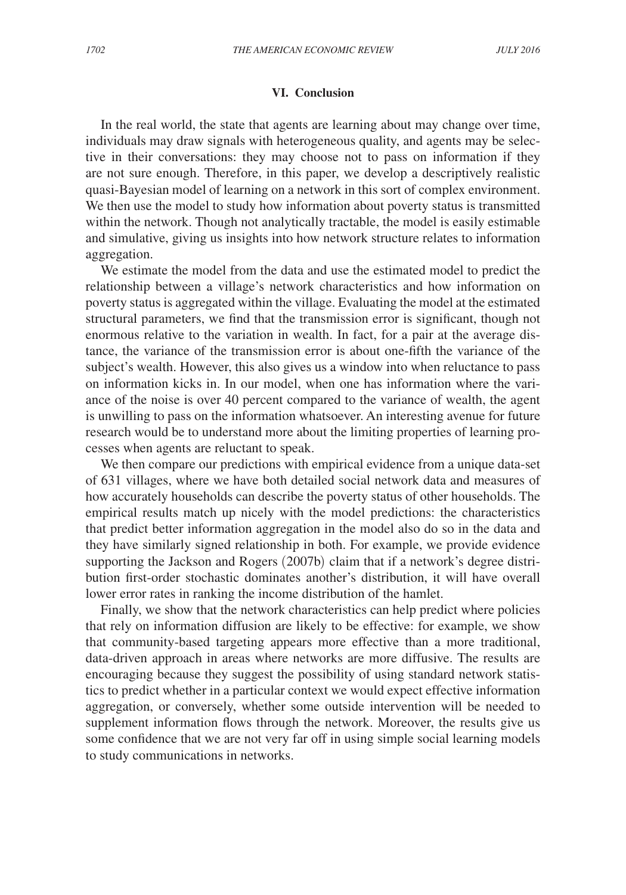### **VI. Conclusion**

In the real world, the state that agents are learning about may change over time, individuals may draw signals with heterogeneous quality, and agents may be selective in their conversations: they may choose not to pass on information if they are not sure enough. Therefore, in this paper, we develop a descriptively realistic quasi-Bayesian model of learning on a network in this sort of complex environment. We then use the model to study how information about poverty status is transmitted within the network. Though not analytically tractable, the model is easily estimable and simulative, giving us insights into how network structure relates to information aggregation.

We estimate the model from the data and use the estimated model to predict the relationship between a village's network characteristics and how information on poverty status is aggregated within the village. Evaluating the model at the estimated structural parameters, we find that the transmission error is significant, though not enormous relative to the variation in wealth. In fact, for a pair at the average distance, the variance of the transmission error is about one-fifth the variance of the subject's wealth. However, this also gives us a window into when reluctance to pass on information kicks in. In our model, when one has information where the variance of the noise is over 40 percent compared to the variance of wealth, the agent is unwilling to pass on the information whatsoever. An interesting avenue for future research would be to understand more about the limiting properties of learning processes when agents are reluctant to speak.

We then compare our predictions with empirical evidence from a unique data-set of 631 villages, where we have both detailed social network data and measures of how accurately households can describe the poverty status of other households. The empirical results match up nicely with the model predictions: the characteristics that predict better information aggregation in the model also do so in the data and they have similarly signed relationship in both. For example, we provide evidence supporting the Jackson and Rogers (2007b) claim that if a network's degree distribution first-order stochastic dominates another's distribution, it will have overall lower error rates in ranking the income distribution of the hamlet.

Finally, we show that the network characteristics can help predict where policies that rely on information diffusion are likely to be effective: for example, we show that community-based targeting appears more effective than a more traditional, data-driven approach in areas where networks are more diffusive. The results are encouraging because they suggest the possibility of using standard network statistics to predict whether in a particular context we would expect effective information aggregation, or conversely, whether some outside intervention will be needed to supplement information flows through the network. Moreover, the results give us some confidence that we are not very far off in using simple social learning models to study communications in networks.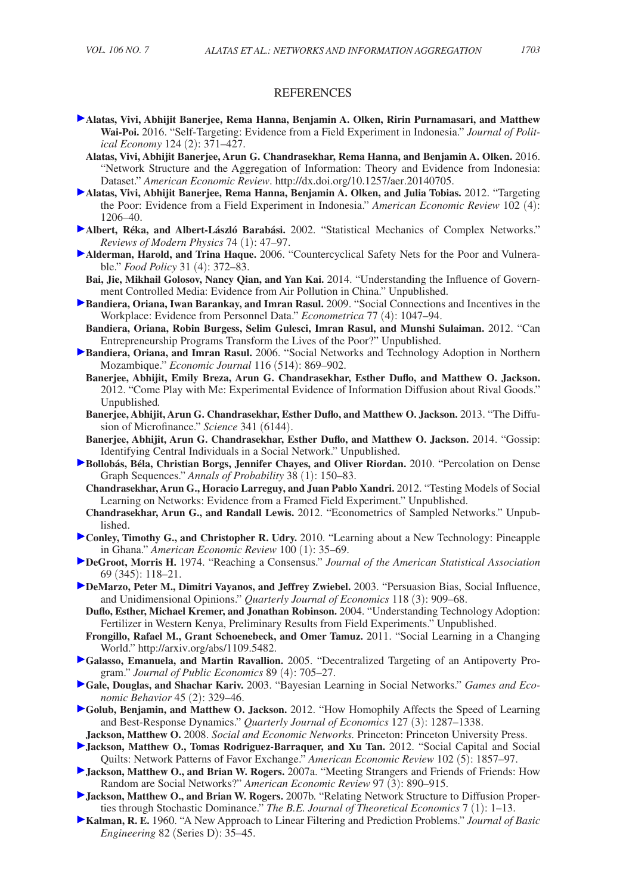#### **REFERENCES**

- **Alatas, Vivi, Abhijit Banerjee, Rema Hanna, Benjamin A. Olken, Ririn Purnamasari, and Matthew Wai-Poi.** 2016. "Self-Targeting: Evidence from a Field Experiment in Indonesia." *Journal of Political Economy* 124 (2): 371–427.
	- **Alatas, Vivi, Abhijit Banerjee, Arun G. Chandrasekhar, Rema Hanna, and Benjamin A. Olken.** 2016. "Network Structure and the Aggregation of Information: Theory and Evidence from Indonesia: Dataset." *American Economic Review*. [http://dx.doi.org/10.1257/aer.20140705.](http://dx.doi.org/10.1257/aer.20140705)
- **Alatas, Vivi, Abhijit Banerjee, Rema Hanna, Benjamin A. Olken, and Julia Tobias.** 2012. "Targeting the Poor: Evidence from a Field Experiment in Indonesia." *American Economic Review* 102 (4): 1206–40.
- **Albert, Réka, and Albert-László Barabási.** 2002. "Statistical Mechanics of Complex Networks." *Reviews of Modern Physics* 74 (1): 47–97.
- **Alderman, Harold, and Trina Haque.** 2006. "Countercyclical Safety Nets for the Poor and Vulnerable." *Food Policy* 31 (4): 372–83.
	- **Bai, Jie, Mikhail Golosov, Nancy Qian, and Yan Kai.** 2014. "Understanding the Influence of Government Controlled Media: Evidence from Air Pollution in China." Unpublished.
- **Bandiera, Oriana, Iwan Barankay, and Imran Rasul.** 2009. "Social Connections and Incentives in the Workplace: Evidence from Personnel Data." *Econometrica* 77 (4): 1047–94.
- **Bandiera, Oriana, Robin Burgess, Selim Gulesci, Imran Rasul, and Munshi Sulaiman.** 2012. "Can Entrepreneurship Programs Transform the Lives of the Poor?" Unpublished.
- **Bandiera, Oriana, and Imran Rasul.** 2006. "Social Networks and Technology Adoption in Northern Mozambique." *Economic Journal* 116 (514): 869–902.
	- **Banerjee, Abhijit, Emily Breza, Arun G. Chandrasekhar, Esther Duflo, and Matthew O. Jackson.** 2012. "Come Play with Me: Experimental Evidence of Information Diffusion about Rival Goods." Unpublished*.*
	- **Banerjee, Abhijit, Arun G. Chandrasekhar, Esther Duflo, and Matthew O. Jackson.** 2013. "The Diffusion of Microfinance." *Science* 341 (6144).
	- **Banerjee, Abhijit, Arun G. Chandrasekhar, Esther Duflo, and Matthew O. Jackson.** 2014. "Gossip: Identifying Central Individuals in a Social Network." Unpublished.
- **Bollobás, Béla, Christian Borgs, Jennifer Chayes, and Oliver Riordan.** 2010. "Percolation on Dense Graph Sequences." *Annals of Probability* 38 (1): 150–83.
	- **Chandrasekhar, Arun G., Horacio Larreguy, and Juan Pablo Xandri.** 2012. "Testing Models of Social Learning on Networks: Evidence from a Framed Field Experiment." Unpublished.
- **Chandrasekhar, Arun G., and Randall Lewis.** 2012. "Econometrics of Sampled Networks." Unpublished.
- **Conley, Timothy G., and Christopher R. Udry.** 2010. "Learning about a New Technology: Pineapple in Ghana." *American Economic Review* 100 (1): 35–69.
- **DeGroot, Morris H.** 1974. "Reaching a Consensus." *Journal of the American Statistical Association* 69 (345): 118–21.
- **DeMarzo, Peter M., Dimitri Vayanos, and Jeffrey Zwiebel.** 2003. "Persuasion Bias, Social Influence, and Unidimensional Opinions." *Quarterly Journal of Economics* 118 (3): 909–68.
- **Duflo, Esther, Michael Kremer, and Jonathan Robinson.** 2004. "Understanding Technology Adoption: Fertilizer in Western Kenya, Preliminary Results from Field Experiments." Unpublished.
- **Frongillo, Rafael M., Grant Schoenebeck, and Omer Tamuz.** 2011. "Social Learning in a Changing World." [http://arxiv.org/abs/1109.5482.](http://arxiv.org/abs/1109.5482)
- **Galasso, Emanuela, and Martin Ravallion.** 2005. "Decentralized Targeting of an Antipoverty Program." *Journal of Public Economics* 89 (4): 705–27.
- **Gale, Douglas, and Shachar Kariv.** 2003. "Bayesian Learning in Social Networks." *Games and Economic Behavior* 45 (2): 329–46.
- **Golub, Benjamin, and Matthew O. Jackson.** 2012. "How Homophily Affects the Speed of Learning and Best-Response Dynamics." *Quarterly Journal of Economics* 127 (3): 1287–1338.
- **Jackson, Matthew O.** 2008. *Social and Economic Networks.* Princeton: Princeton University Press.
- **Jackson, Matthew O., Tomas Rodriguez-Barraquer, and Xu Tan.** 2012. "Social Capital and Social Quilts: Network Patterns of Favor Exchange." *American Economic Review* 102 (5): 1857–97.
- **Jackson, Matthew O., and Brian W. Rogers.** 2007a. "Meeting Strangers and Friends of Friends: How Random are Social Networks?" *American Economic Review* 97 (3): 890–915.
- **Jackson, Matthew O., and Brian W. Rogers.** 2007b. "Relating Network Structure to Diffusion Properties through Stochastic Dominance." *The B.E. Journal of Theoretical Economics* 7 (1): 1–13.
- **Kalman, R. E.** 1960. "A New Approach to Linear Filtering and Prediction Problems." *Journal of Basic Engineering* 82 (Series D): 35–45.